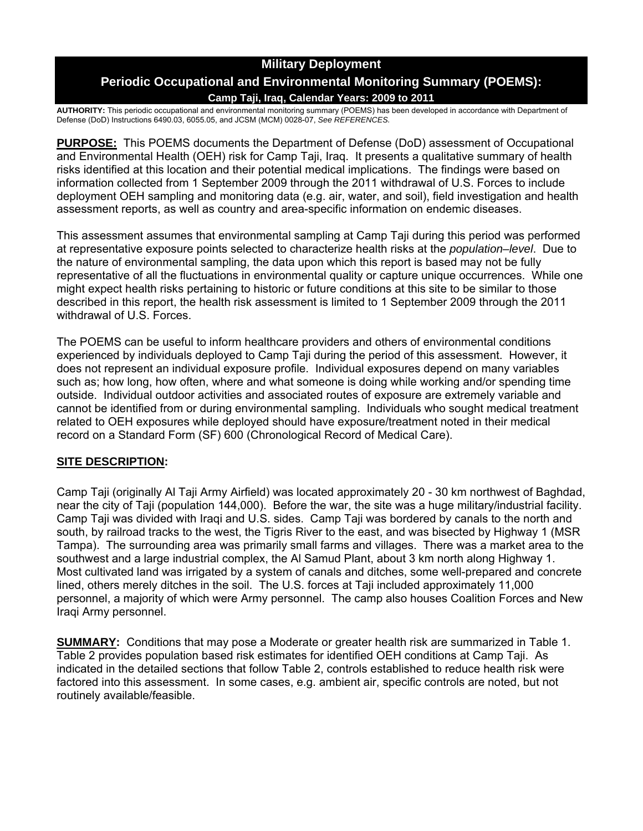# **Military Deployment**

# **Periodic Occupational and Environmental Monitoring Summary (POEMS):**

### **Camp Taji, Iraq, Calendar Years: 2009 to 2011**

**AUTHORITY:** This periodic occupational and environmental monitoring summary (POEMS) has been developed in accordance with Department of Defense (DoD) Instructions 6490.03, 6055.05, and JCSM (MCM) 0028-07, *See REFERENCES.* 

**PURPOSE:** This POEMS documents the Department of Defense (DoD) assessment of Occupational and Environmental Health (OEH) risk for Camp Taji, Iraq. It presents a qualitative summary of health risks identified at this location and their potential medical implications. The findings were based on information collected from 1 September 2009 through the 2011 withdrawal of U.S. Forces to include deployment OEH sampling and monitoring data (e.g. air, water, and soil), field investigation and health assessment reports, as well as country and area-specific information on endemic diseases.

This assessment assumes that environmental sampling at Camp Taji during this period was performed at representative exposure points selected to characterize health risks at the *population–level*. Due to the nature of environmental sampling, the data upon which this report is based may not be fully representative of all the fluctuations in environmental quality or capture unique occurrences. While one might expect health risks pertaining to historic or future conditions at this site to be similar to those described in this report, the health risk assessment is limited to 1 September 2009 through the 2011 withdrawal of U.S. Forces.

The POEMS can be useful to inform healthcare providers and others of environmental conditions experienced by individuals deployed to Camp Taji during the period of this assessment. However, it does not represent an individual exposure profile. Individual exposures depend on many variables such as; how long, how often, where and what someone is doing while working and/or spending time outside. Individual outdoor activities and associated routes of exposure are extremely variable and cannot be identified from or during environmental sampling. Individuals who sought medical treatment related to OEH exposures while deployed should have exposure/treatment noted in their medical record on a Standard Form (SF) 600 (Chronological Record of Medical Care).

## **SITE DESCRIPTION:**

Camp Taji (originally Al Taji Army Airfield) was located approximately 20 - 30 km northwest of Baghdad, near the city of Taji (population 144,000). Before the war, the site was a huge military/industrial facility. Camp Taji was divided with Iraqi and U.S. sides. Camp Taji was bordered by canals to the north and south, by railroad tracks to the west, the Tigris River to the east, and was bisected by Highway 1 (MSR Tampa). The surrounding area was primarily small farms and villages. There was a market area to the southwest and a large industrial complex, the Al Samud Plant, about 3 km north along Highway 1. Most cultivated land was irrigated by a system of canals and ditches, some well-prepared and concrete lined, others merely ditches in the soil. The U.S. forces at Taji included approximately 11,000 personnel, a majority of which were Army personnel. The camp also houses Coalition Forces and New Iraqi Army personnel.

**SUMMARY:** Conditions that may pose a Moderate or greater health risk are summarized in Table 1. Table 2 provides population based risk estimates for identified OEH conditions at Camp Taji. As indicated in the detailed sections that follow Table 2, controls established to reduce health risk were factored into this assessment. In some cases, e.g. ambient air, specific controls are noted, but not routinely available/feasible.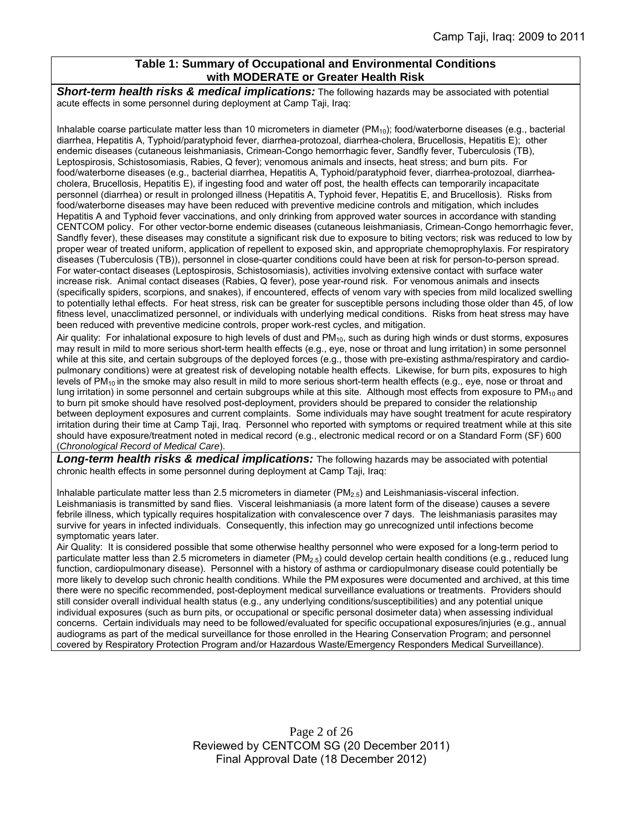### **Table 1: Summary of Occupational and Environmental Conditions with MODERATE or Greater Health Risk**

*Short-term health risks & medical implications:* The following hazards may be associated with potential acute effects in some personnel during deployment at Camp Taji, Iraq:

Inhalable coarse particulate matter less than 10 micrometers in diameter  $(PM_{10})$ ; food/waterborne diseases (e.g., bacterial diarrhea, Hepatitis A, Typhoid/paratyphoid fever, diarrhea-protozoal, diarrhea-cholera, Brucellosis, Hepatitis E); other endemic diseases (cutaneous leishmaniasis, Crimean-Congo hemorrhagic fever, Sandfly fever, Tuberculosis (TB), Leptospirosis, Schistosomiasis, Rabies, Q fever); venomous animals and insects, heat stress; and burn pits. For food/waterborne diseases (e.g., bacterial diarrhea, Hepatitis A, Typhoid/paratyphoid fever, diarrhea-protozoal, diarrheacholera, Brucellosis, Hepatitis E), if ingesting food and water off post, the health effects can temporarily incapacitate personnel (diarrhea) or result in prolonged illness (Hepatitis A, Typhoid fever, Hepatitis E, and Brucellosis). Risks from food/waterborne diseases may have been reduced with preventive medicine controls and mitigation, which includes Hepatitis A and Typhoid fever vaccinations, and only drinking from approved water sources in accordance with standing CENTCOM policy. For other vector-borne endemic diseases (cutaneous leishmaniasis, Crimean-Congo hemorrhagic fever, Sandfly fever), these diseases may constitute a significant risk due to exposure to biting vectors; risk was reduced to low by proper wear of treated uniform, application of repellent to exposed skin, and appropriate chemoprophylaxis. For respiratory diseases (Tuberculosis (TB)), personnel in close-quarter conditions could have been at risk for person-to-person spread. For water-contact diseases (Leptospirosis, Schistosomiasis), activities involving extensive contact with surface water increase risk. Animal contact diseases (Rabies, Q fever), pose year-round risk. For venomous animals and insects (specifically spiders, scorpions, and snakes), if encountered, effects of venom vary with species from mild localized swelling to potentially lethal effects. For heat stress, risk can be greater for susceptible persons including those older than 45, of low fitness level, unacclimatized personnel, or individuals with underlying medical conditions. Risks from heat stress may have been reduced with preventive medicine controls, proper work-rest cycles, and mitigation.

Air quality: For inhalational exposure to high levels of dust and  $PM_{10}$ , such as during high winds or dust storms, exposures may result in mild to more serious short-term health effects (e.g., eye, nose or throat and lung irritation) in some personnel while at this site, and certain subgroups of the deployed forces (e.g., those with pre-existing asthma/respiratory and cardiopulmonary conditions) were at greatest risk of developing notable health effects. Likewise, for burn pits, exposures to high levels of  $PM_{10}$  in the smoke may also result in mild to more serious short-term health effects (e.g., eye, nose or throat and lung irritation) in some personnel and certain subgroups while at this site. Although most effects from exposure to  $PM_{10}$  and to burn pit smoke should have resolved post-deployment, providers should be prepared to consider the relationship between deployment exposures and current complaints. Some individuals may have sought treatment for acute respiratory irritation during their time at Camp Taji, Iraq. Personnel who reported with symptoms or required treatment while at this site should have exposure/treatment noted in medical record (e.g., electronic medical record or on a Standard Form (SF) 600 (*Chronological Record of Medical Care*).

*Long-term health risks & medical implications:* The following hazards may be associated with potential chronic health effects in some personnel during deployment at Camp Taji, Iraq:

Inhalable particulate matter less than 2.5 micrometers in diameter ( $PM_{2.5}$ ) and Leishmaniasis-visceral infection. Leishmaniasis is transmitted by sand flies. Visceral leishmaniasis (a more latent form of the disease) causes a severe febrile illness, which typically requires hospitalization with convalescence over 7 days. The leishmaniasis parasites may survive for years in infected individuals. Consequently, this infection may go unrecognized until infections become symptomatic years later.

Air Quality: It is considered possible that some otherwise healthy personnel who were exposed for a long-term period to particulate matter less than 2.5 micrometers in diameter (PM<sub>2.5</sub>) could develop certain health conditions (e.g., reduced lung function, cardiopulmonary disease). Personnel with a history of asthma or cardiopulmonary disease could potentially be more likely to develop such chronic health conditions. While the PM exposures were documented and archived, at this time there were no specific recommended, post-deployment medical surveillance evaluations or treatments. Providers should still consider overall individual health status (e.g., any underlying conditions/susceptibilities) and any potential unique individual exposures (such as burn pits, or occupational or specific personal dosimeter data) when assessing individual concerns. Certain individuals may need to be followed/evaluated for specific occupational exposures/injuries (e.g., annual audiograms as part of the medical surveillance for those enrolled in the Hearing Conservation Program; and personnel covered by Respiratory Protection Program and/or Hazardous Waste/Emergency Responders Medical Surveillance).

> Page 2 of 26 Reviewed by CENTCOM SG (20 December 2011) Final Approval Date (18 December 2012)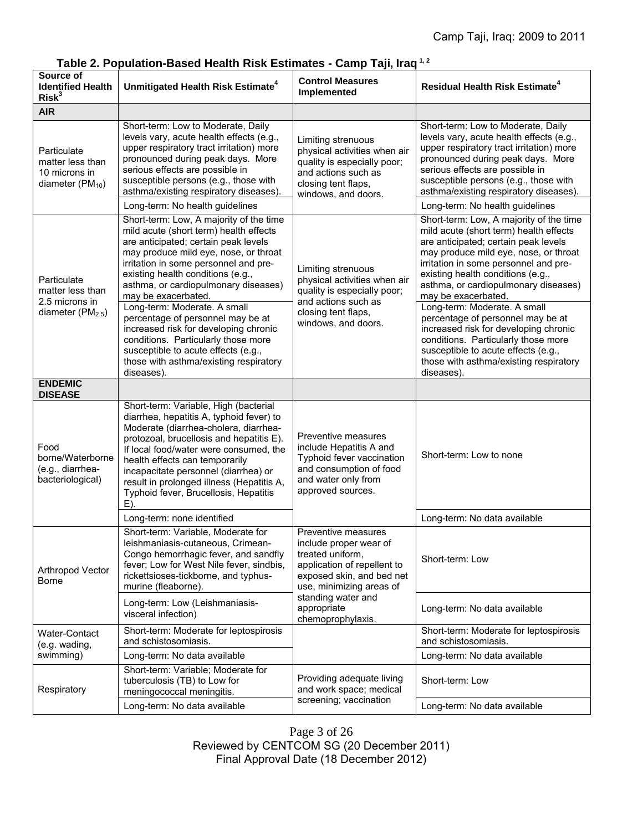| Source of<br><b>Identified Health</b><br>Risk <sup>3</sup>               | Unmitigated Health Risk Estimate <sup>4</sup>                                                                                                                                                                                                                                                                                                                                                                                                                                                                                                                       | <b>Control Measures</b><br>Implemented                                                                                                                                                                              | <b>Residual Health Risk Estimate<sup>4</sup></b>                                                                                                                                                                                                                                                                                                                                                                                                                                                                                                                    |
|--------------------------------------------------------------------------|---------------------------------------------------------------------------------------------------------------------------------------------------------------------------------------------------------------------------------------------------------------------------------------------------------------------------------------------------------------------------------------------------------------------------------------------------------------------------------------------------------------------------------------------------------------------|---------------------------------------------------------------------------------------------------------------------------------------------------------------------------------------------------------------------|---------------------------------------------------------------------------------------------------------------------------------------------------------------------------------------------------------------------------------------------------------------------------------------------------------------------------------------------------------------------------------------------------------------------------------------------------------------------------------------------------------------------------------------------------------------------|
| <b>AIR</b>                                                               |                                                                                                                                                                                                                                                                                                                                                                                                                                                                                                                                                                     |                                                                                                                                                                                                                     |                                                                                                                                                                                                                                                                                                                                                                                                                                                                                                                                                                     |
| Particulate<br>matter less than<br>10 microns in<br>diameter $(PM_{10})$ | Short-term: Low to Moderate, Daily<br>levels vary, acute health effects (e.g.,<br>upper respiratory tract irritation) more<br>pronounced during peak days. More<br>serious effects are possible in<br>susceptible persons (e.g., those with<br>asthma/existing respiratory diseases).<br>Long-term: No health guidelines                                                                                                                                                                                                                                            | Limiting strenuous<br>physical activities when air<br>quality is especially poor;<br>and actions such as<br>closing tent flaps,<br>windows, and doors.                                                              | Short-term: Low to Moderate, Daily<br>levels vary, acute health effects (e.g.,<br>upper respiratory tract irritation) more<br>pronounced during peak days. More<br>serious effects are possible in<br>susceptible persons (e.g., those with<br>asthma/existing respiratory diseases).<br>Long-term: No health guidelines                                                                                                                                                                                                                                            |
| Particulate<br>matter less than<br>2.5 microns in<br>diameter $(PM2.5)$  | Short-term: Low, A majority of the time<br>mild acute (short term) health effects<br>are anticipated; certain peak levels<br>may produce mild eye, nose, or throat<br>irritation in some personnel and pre-<br>existing health conditions (e.g.,<br>asthma, or cardiopulmonary diseases)<br>may be exacerbated.<br>Long-term: Moderate. A small<br>percentage of personnel may be at<br>increased risk for developing chronic<br>conditions. Particularly those more<br>susceptible to acute effects (e.g.,<br>those with asthma/existing respiratory<br>diseases). | Limiting strenuous<br>physical activities when air<br>quality is especially poor;<br>and actions such as<br>closing tent flaps,<br>windows, and doors.                                                              | Short-term: Low, A majority of the time<br>mild acute (short term) health effects<br>are anticipated; certain peak levels<br>may produce mild eye, nose, or throat<br>irritation in some personnel and pre-<br>existing health conditions (e.g.,<br>asthma, or cardiopulmonary diseases)<br>may be exacerbated.<br>Long-term: Moderate. A small<br>percentage of personnel may be at<br>increased risk for developing chronic<br>conditions. Particularly those more<br>susceptible to acute effects (e.g.,<br>those with asthma/existing respiratory<br>diseases). |
| <b>ENDEMIC</b><br><b>DISEASE</b>                                         |                                                                                                                                                                                                                                                                                                                                                                                                                                                                                                                                                                     |                                                                                                                                                                                                                     |                                                                                                                                                                                                                                                                                                                                                                                                                                                                                                                                                                     |
| Food<br>borne/Waterborne<br>(e.g., diarrhea-<br>bacteriological)         | Short-term: Variable, High (bacterial<br>diarrhea, hepatitis A, typhoid fever) to<br>Moderate (diarrhea-cholera, diarrhea-<br>protozoal, brucellosis and hepatitis E).<br>If local food/water were consumed, the<br>health effects can temporarily<br>incapacitate personnel (diarrhea) or<br>result in prolonged illness (Hepatitis A,<br>Typhoid fever, Brucellosis, Hepatitis<br>E)                                                                                                                                                                              | Preventive measures<br>include Hepatitis A and<br>Typhoid fever vaccination<br>and consumption of food<br>and water only from<br>approved sources.                                                                  | Short-term: Low to none                                                                                                                                                                                                                                                                                                                                                                                                                                                                                                                                             |
|                                                                          | Long-term: none identified                                                                                                                                                                                                                                                                                                                                                                                                                                                                                                                                          |                                                                                                                                                                                                                     | Long-term: No data available                                                                                                                                                                                                                                                                                                                                                                                                                                                                                                                                        |
| Arthropod Vector<br>Borne                                                | Short-term: Variable, Moderate for<br>leishmaniasis-cutaneous, Crimean-<br>Congo hemorrhagic fever, and sandfly<br>fever; Low for West Nile fever, sindbis,<br>rickettsioses-tickborne, and typhus-<br>murine (fleaborne).                                                                                                                                                                                                                                                                                                                                          | Preventive measures<br>include proper wear of<br>treated uniform,<br>application of repellent to<br>exposed skin, and bed net<br>use, minimizing areas of<br>standing water and<br>appropriate<br>chemoprophylaxis. | Short-term: Low                                                                                                                                                                                                                                                                                                                                                                                                                                                                                                                                                     |
|                                                                          | Long-term: Low (Leishmaniasis-<br>visceral infection)                                                                                                                                                                                                                                                                                                                                                                                                                                                                                                               |                                                                                                                                                                                                                     | Long-term: No data available                                                                                                                                                                                                                                                                                                                                                                                                                                                                                                                                        |
| Water-Contact<br>(e.g. wading,<br>swimming)                              | Short-term: Moderate for leptospirosis<br>and schistosomiasis.                                                                                                                                                                                                                                                                                                                                                                                                                                                                                                      |                                                                                                                                                                                                                     | Short-term: Moderate for leptospirosis<br>and schistosomiasis.                                                                                                                                                                                                                                                                                                                                                                                                                                                                                                      |
|                                                                          | Long-term: No data available                                                                                                                                                                                                                                                                                                                                                                                                                                                                                                                                        |                                                                                                                                                                                                                     | Long-term: No data available                                                                                                                                                                                                                                                                                                                                                                                                                                                                                                                                        |
| Respiratory                                                              | Short-term: Variable; Moderate for<br>tuberculosis (TB) to Low for<br>meningococcal meningitis.                                                                                                                                                                                                                                                                                                                                                                                                                                                                     | Providing adequate living<br>and work space; medical<br>screening; vaccination                                                                                                                                      | Short-term: Low                                                                                                                                                                                                                                                                                                                                                                                                                                                                                                                                                     |
|                                                                          | Long-term: No data available                                                                                                                                                                                                                                                                                                                                                                                                                                                                                                                                        |                                                                                                                                                                                                                     | Long-term: No data available                                                                                                                                                                                                                                                                                                                                                                                                                                                                                                                                        |

**Table 2. Population-Based Health Risk Estimates - Camp Taji, Iraq 1, 2**

Page 3 of 26 Reviewed by CENTCOM SG (20 December 2011) Final Approval Date (18 December 2012)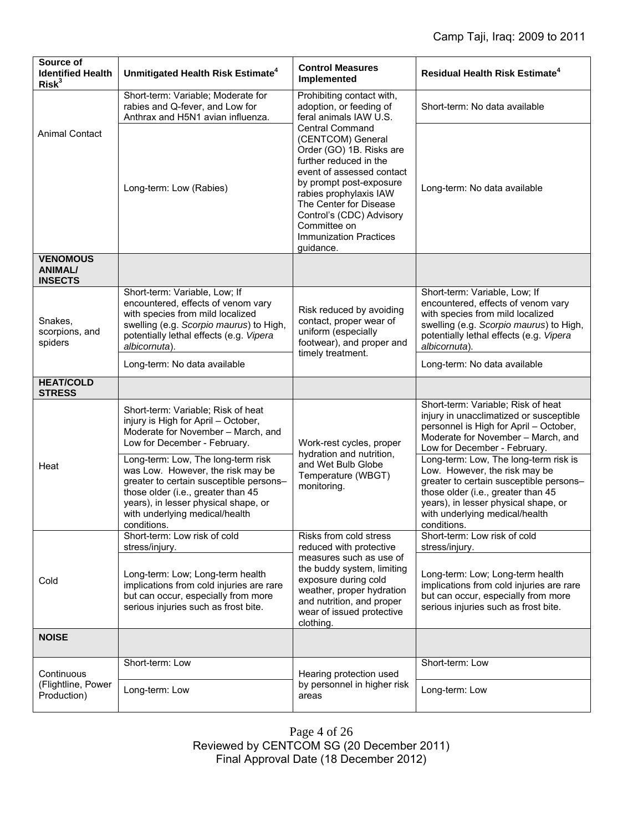| Source of<br><b>Identified Health</b><br>Risk <sup>3</sup> | Unmitigated Health Risk Estimate <sup>4</sup>                                                                                                                                                                                                     | <b>Control Measures</b><br>Implemented                                                                                                                                            | Residual Health Risk Estimate <sup>4</sup>                                                                                                                                                                                                       |
|------------------------------------------------------------|---------------------------------------------------------------------------------------------------------------------------------------------------------------------------------------------------------------------------------------------------|-----------------------------------------------------------------------------------------------------------------------------------------------------------------------------------|--------------------------------------------------------------------------------------------------------------------------------------------------------------------------------------------------------------------------------------------------|
|                                                            | Short-term: Variable; Moderate for<br>rabies and Q-fever, and Low for<br>Anthrax and H5N1 avian influenza.                                                                                                                                        | Prohibiting contact with,<br>adoption, or feeding of<br>feral animals IAW U.S.                                                                                                    | Short-term: No data available                                                                                                                                                                                                                    |
| <b>Animal Contact</b>                                      | <b>Central Command</b><br>(CENTCOM) General<br>further reduced in the<br>Long-term: Low (Rabies)<br>rabies prophylaxis IAW<br>The Center for Disease<br>Committee on<br><b>Immunization Practices</b><br>guidance.                                | Order (GO) 1B. Risks are<br>event of assessed contact<br>by prompt post-exposure<br>Control's (CDC) Advisory                                                                      | Long-term: No data available                                                                                                                                                                                                                     |
| <b>VENOMOUS</b><br><b>ANIMAL/</b><br><b>INSECTS</b>        |                                                                                                                                                                                                                                                   |                                                                                                                                                                                   |                                                                                                                                                                                                                                                  |
| Snakes,<br>scorpions, and<br>spiders                       | Short-term: Variable, Low; If<br>encountered, effects of venom vary<br>with species from mild localized<br>swelling (e.g. Scorpio maurus) to High,<br>potentially lethal effects (e.g. Vipera<br>albicornuta).                                    | Risk reduced by avoiding<br>contact, proper wear of<br>uniform (especially<br>footwear), and proper and<br>timely treatment.                                                      | Short-term: Variable, Low; If<br>encountered, effects of venom vary<br>with species from mild localized<br>swelling (e.g. Scorpio maurus) to High,<br>potentially lethal effects (e.g. Vipera<br>albicornuta).                                   |
|                                                            | Long-term: No data available                                                                                                                                                                                                                      |                                                                                                                                                                                   | Long-term: No data available                                                                                                                                                                                                                     |
| <b>HEAT/COLD</b><br><b>STRESS</b>                          |                                                                                                                                                                                                                                                   |                                                                                                                                                                                   |                                                                                                                                                                                                                                                  |
| Heat                                                       | Short-term: Variable; Risk of heat<br>injury is High for April - October,<br>Moderate for November - March, and<br>Low for December - February.                                                                                                   | Work-rest cycles, proper<br>hydration and nutrition,<br>and Wet Bulb Globe<br>Temperature (WBGT)<br>monitoring.                                                                   | Short-term: Variable; Risk of heat<br>injury in unacclimatized or susceptible<br>personnel is High for April - October,<br>Moderate for November - March, and<br>Low for December - February.                                                    |
|                                                            | Long-term: Low, The long-term risk<br>was Low. However, the risk may be<br>greater to certain susceptible persons-<br>those older (i.e., greater than 45<br>years), in lesser physical shape, or<br>with underlying medical/health<br>conditions. |                                                                                                                                                                                   | Long-term: Low, The long-term risk is<br>Low. However, the risk may be<br>greater to certain susceptible persons-<br>those older (i.e., greater than 45<br>years), in lesser physical shape, or<br>with underlying medical/health<br>conditions. |
| Cold                                                       | Short-term: Low risk of cold<br>stress/injury.                                                                                                                                                                                                    | Risks from cold stress<br>reduced with protective                                                                                                                                 | Short-term: Low risk of cold<br>stress/injury.                                                                                                                                                                                                   |
|                                                            | Long-term: Low; Long-term health<br>implications from cold injuries are rare<br>but can occur, especially from more<br>serious injuries such as frost bite.                                                                                       | measures such as use of<br>the buddy system, limiting<br>exposure during cold<br>weather, proper hydration<br>and nutrition, and proper<br>wear of issued protective<br>clothing. | Long-term: Low; Long-term health<br>implications from cold injuries are rare<br>but can occur, especially from more<br>serious injuries such as frost bite.                                                                                      |
| <b>NOISE</b>                                               |                                                                                                                                                                                                                                                   |                                                                                                                                                                                   |                                                                                                                                                                                                                                                  |
| Continuous<br>(Flightline, Power<br>Production)            | Short-term: Low                                                                                                                                                                                                                                   | Hearing protection used<br>by personnel in higher risk<br>areas                                                                                                                   | Short-term: Low                                                                                                                                                                                                                                  |
|                                                            | Long-term: Low                                                                                                                                                                                                                                    |                                                                                                                                                                                   | Long-term: Low                                                                                                                                                                                                                                   |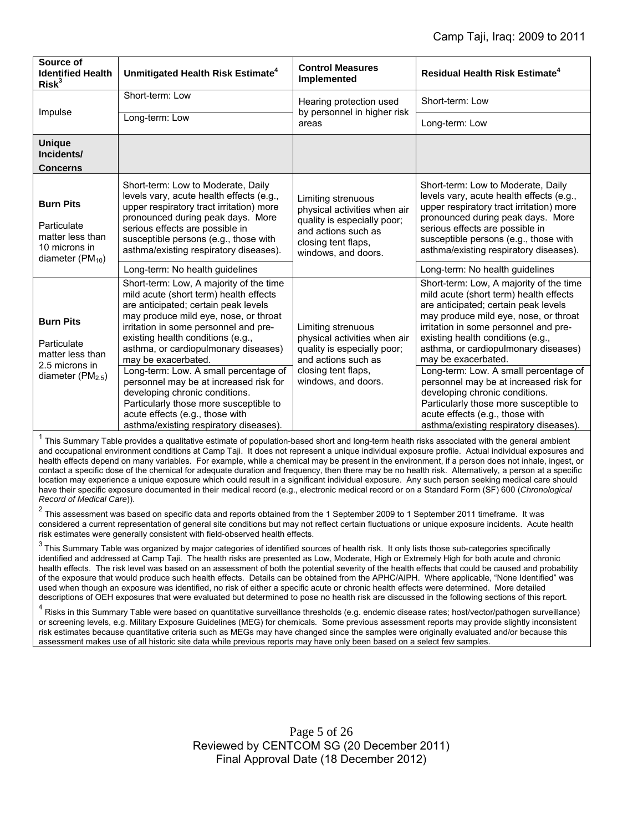| Source of<br><b>Identified Health</b><br>Risk <sup>3</sup>                                     | Unmitigated Health Risk Estimate <sup>4</sup>                                                                                                                                                                                                                                                                   | <b>Control Measures</b><br>Implemented                                                                                                                 | <b>Residual Health Risk Estimate<sup>4</sup></b>                                                                                                                                                                                                                                                                |
|------------------------------------------------------------------------------------------------|-----------------------------------------------------------------------------------------------------------------------------------------------------------------------------------------------------------------------------------------------------------------------------------------------------------------|--------------------------------------------------------------------------------------------------------------------------------------------------------|-----------------------------------------------------------------------------------------------------------------------------------------------------------------------------------------------------------------------------------------------------------------------------------------------------------------|
| Impulse                                                                                        | Short-term: Low                                                                                                                                                                                                                                                                                                 | Hearing protection used<br>by personnel in higher risk<br>areas                                                                                        | Short-term: Low                                                                                                                                                                                                                                                                                                 |
|                                                                                                | Long-term: Low                                                                                                                                                                                                                                                                                                  |                                                                                                                                                        | Long-term: Low                                                                                                                                                                                                                                                                                                  |
| <b>Unique</b><br>Incidents/                                                                    |                                                                                                                                                                                                                                                                                                                 |                                                                                                                                                        |                                                                                                                                                                                                                                                                                                                 |
| <b>Concerns</b>                                                                                |                                                                                                                                                                                                                                                                                                                 |                                                                                                                                                        |                                                                                                                                                                                                                                                                                                                 |
| <b>Burn Pits</b><br>Particulate<br>matter less than<br>10 microns in<br>diameter ( $PM_{10}$ ) | Short-term: Low to Moderate, Daily<br>levels vary, acute health effects (e.g.,<br>upper respiratory tract irritation) more<br>pronounced during peak days. More<br>serious effects are possible in<br>susceptible persons (e.g., those with<br>asthma/existing respiratory diseases).                           | Limiting strenuous<br>physical activities when air<br>quality is especially poor;<br>and actions such as<br>closing tent flaps,<br>windows, and doors. | Short-term: Low to Moderate, Daily<br>levels vary, acute health effects (e.g.,<br>upper respiratory tract irritation) more<br>pronounced during peak days. More<br>serious effects are possible in<br>susceptible persons (e.g., those with<br>asthma/existing respiratory diseases).                           |
|                                                                                                | Long-term: No health guidelines                                                                                                                                                                                                                                                                                 |                                                                                                                                                        | Long-term: No health guidelines                                                                                                                                                                                                                                                                                 |
| <b>Burn Pits</b><br>Particulate<br>matter less than<br>2.5 microns in<br>diameter $(PM2.5)$    | Short-term: Low, A majority of the time<br>mild acute (short term) health effects<br>are anticipated; certain peak levels<br>may produce mild eye, nose, or throat<br>irritation in some personnel and pre-<br>existing health conditions (e.g.,<br>asthma, or cardiopulmonary diseases)<br>may be exacerbated. | Limiting strenuous<br>physical activities when air<br>quality is especially poor;<br>and actions such as<br>closing tent flaps,<br>windows, and doors. | Short-term: Low, A majority of the time<br>mild acute (short term) health effects<br>are anticipated; certain peak levels<br>may produce mild eye, nose, or throat<br>irritation in some personnel and pre-<br>existing health conditions (e.g.,<br>asthma, or cardiopulmonary diseases)<br>may be exacerbated. |
|                                                                                                | Long-term: Low. A small percentage of<br>personnel may be at increased risk for<br>developing chronic conditions.<br>Particularly those more susceptible to<br>acute effects (e.g., those with<br>asthma/existing respiratory diseases).                                                                        |                                                                                                                                                        | Long-term: Low. A small percentage of<br>personnel may be at increased risk for<br>developing chronic conditions.<br>Particularly those more susceptible to<br>acute effects (e.g., those with<br>asthma/existing respiratory diseases).                                                                        |

<sup>1</sup> This Summary Table provides a qualitative estimate of population-based short and long-term health risks associated with the general ambient and occupational environment conditions at Camp Taji. It does not represent a unique individual exposure profile. Actual individual exposures and health effects depend on many variables. For example, while a chemical may be present in the environment, if a person does not inhale, ingest, or contact a specific dose of the chemical for adequate duration and frequency, then there may be no health risk. Alternatively, a person at a specific location may experience a unique exposure which could result in a significant individual exposure. Any such person seeking medical care should have their specific exposure documented in their medical record (e.g., electronic medical record or on a Standard Form (SF) 600 (*Chronological Record of Medical Care*)).

 $^2$  This assessment was based on specific data and reports obtained from the 1 September 2009 to 1 September 2011 timeframe. It was considered a current representation of general site conditions but may not reflect certain fluctuations or unique exposure incidents. Acute health risk estimates were generally consistent with field-observed health effects.

 $3$  This Summary Table was organized by major categories of identified sources of health risk. It only lists those sub-categories specifically identified and addressed at Camp Taji. The health risks are presented as Low, Moderate, High or Extremely High for both acute and chronic health effects. The risk level was based on an assessment of both the potential severity of the health effects that could be caused and probability of the exposure that would produce such health effects. Details can be obtained from the APHC/AIPH. Where applicable, "None Identified" was used when though an exposure was identified, no risk of either a specific acute or chronic health effects were determined. More detailed descriptions of OEH exposures that were evaluated but determined to pose no health risk are discussed in the following sections of this report.

<sup>4</sup> Risks in this Summary Table were based on quantitative surveillance thresholds (e.g. endemic disease rates; host/vector/pathogen surveillance) or screening levels, e.g. Military Exposure Guidelines (MEG) for chemicals*.* Some previous assessment reports may provide slightly inconsistent risk estimates because quantitative criteria such as MEGs may have changed since the samples were originally evaluated and/or because this assessment makes use of all historic site data while previous reports may have only been based on a select few samples.

> Page 5 of 26 Reviewed by CENTCOM SG (20 December 2011) Final Approval Date (18 December 2012)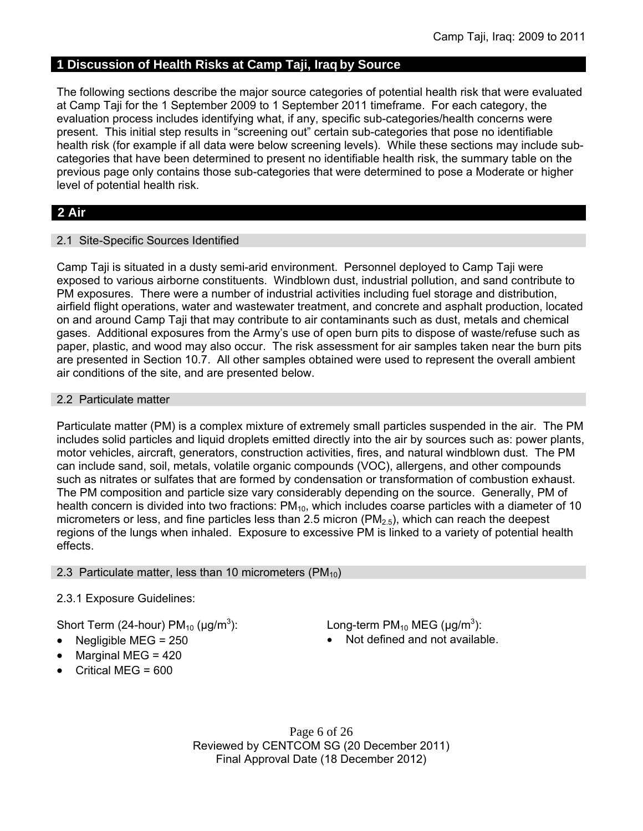# **1 Discussion of Health Risks at Camp Taji, Iraq by Source**

The following sections describe the major source categories of potential health risk that were evaluated at Camp Taji for the 1 September 2009 to 1 September 2011 timeframe. For each category, the evaluation process includes identifying what, if any, specific sub-categories/health concerns were present. This initial step results in "screening out" certain sub-categories that pose no identifiable health risk (for example if all data were below screening levels). While these sections may include subcategories that have been determined to present no identifiable health risk, the summary table on the previous page only contains those sub-categories that were determined to pose a Moderate or higher level of potential health risk.

# **2 Air**

### 2.1 Site-Specific Sources Identified

Camp Taji is situated in a dusty semi-arid environment. Personnel deployed to Camp Taji were exposed to various airborne constituents. Windblown dust, industrial pollution, and sand contribute to PM exposures. There were a number of industrial activities including fuel storage and distribution, airfield flight operations, water and wastewater treatment, and concrete and asphalt production, located on and around Camp Taji that may contribute to air contaminants such as dust, metals and chemical gases. Additional exposures from the Army's use of open burn pits to dispose of waste/refuse such as paper, plastic, and wood may also occur. The risk assessment for air samples taken near the burn pits are presented in Section 10.7. All other samples obtained were used to represent the overall ambient air conditions of the site, and are presented below.

### 2.2 Particulate matter

Particulate matter (PM) is a complex mixture of extremely small particles suspended in the air. The PM includes solid particles and liquid droplets emitted directly into the air by sources such as: power plants, motor vehicles, aircraft, generators, construction activities, fires, and natural windblown dust. The PM can include sand, soil, metals, volatile organic compounds (VOC), allergens, and other compounds such as nitrates or sulfates that are formed by condensation or transformation of combustion exhaust. The PM composition and particle size vary considerably depending on the source. Generally, PM of health concern is divided into two fractions:  $PM_{10}$ , which includes coarse particles with a diameter of 10 micrometers or less, and fine particles less than 2.5 micron ( $PM<sub>2.5</sub>$ ), which can reach the deepest regions of the lungs when inhaled. Exposure to excessive PM is linked to a variety of potential health effects.

## 2.3 Particulate matter, less than 10 micrometers ( $PM_{10}$ )

## 2.3.1 Exposure Guidelines:

Short Term (24-hour)  $PM_{10}$  ( $\mu$ g/m<sup>3</sup>):

- 
- Marginal MEG = 420
- Critical MEG = 600

): Long-term  $PM_{10}$  MEG ( $\mu$ g/m<sup>3</sup>):

• Negligible MEG = 250 **a** Not defined and not available.

Page 6 of 26 Reviewed by CENTCOM SG (20 December 2011) Final Approval Date (18 December 2012)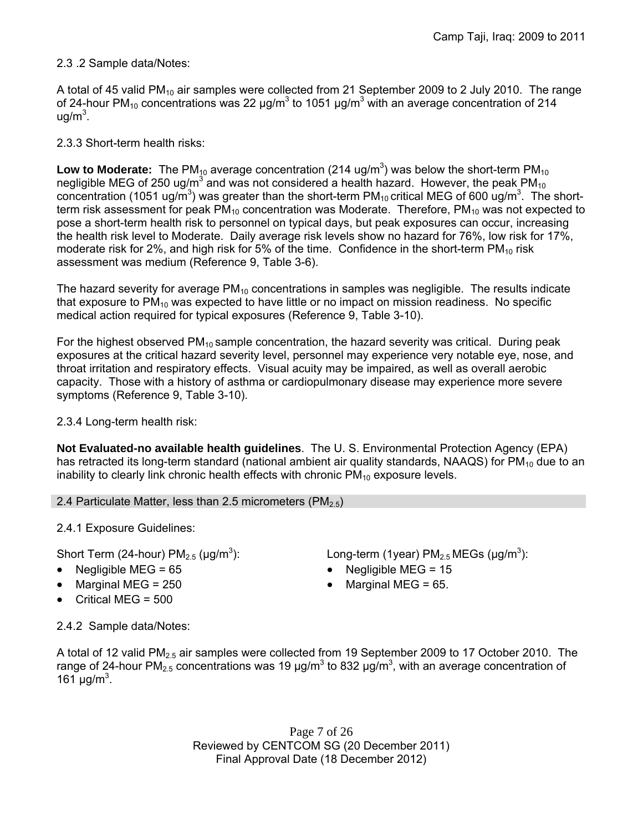## 2.3 .2 Sample data/Notes:

A total of 45 valid PM<sub>10</sub> air samples were collected from 21 September 2009 to 2 July 2010. The range of 24-hour PM<sub>10</sub> concentrations was 22  $\mu$ g/m<sup>3</sup> to 1051  $\mu$ g/m<sup>3</sup> with an average concentration of 214 ug/m<sup>3</sup>.

2.3.3 Short-term health risks:

Low to Moderate: The PM<sub>10</sub> average concentration (214 ug/m<sup>3</sup>) was below the short-term PM<sub>10</sub> negligible MEG of 250 ug/m<sup>3</sup> and was not considered a health hazard. However, the peak PM<sub>10</sub> concentration (1051 ug/m<sup>3</sup>) was greater than the short-term PM<sub>10</sub> critical MEG of 600 ug/m<sup>3</sup>. The shortterm risk assessment for peak  $PM_{10}$  concentration was Moderate. Therefore,  $PM_{10}$  was not expected to pose a short-term health risk to personnel on typical days, but peak exposures can occur, increasing the health risk level to Moderate. Daily average risk levels show no hazard for 76%, low risk for 17%, moderate risk for 2%, and high risk for 5% of the time. Confidence in the short-term  $PM_{10}$  risk assessment was medium (Reference 9, Table 3-6).

The hazard severity for average  $PM_{10}$  concentrations in samples was negligible. The results indicate that exposure to  $PM_{10}$  was expected to have little or no impact on mission readiness. No specific medical action required for typical exposures (Reference 9, Table 3-10).

For the highest observed  $PM_{10}$  sample concentration, the hazard severity was critical. During peak exposures at the critical hazard severity level, personnel may experience very notable eye, nose, and throat irritation and respiratory effects. Visual acuity may be impaired, as well as overall aerobic capacity. Those with a history of asthma or cardiopulmonary disease may experience more severe symptoms (Reference 9, Table 3-10).

2.3.4 Long-term health risk:

**Not Evaluated-no available health guidelines**. The U. S. Environmental Protection Agency (EPA) has retracted its long-term standard (national ambient air quality standards, NAAQS) for  $PM_{10}$  due to an inability to clearly link chronic health effects with chronic  $PM_{10}$  exposure levels.

2.4 Particulate Matter, less than 2.5 micrometers (PM $_{2.5}$ )

2.4.1 Exposure Guidelines:

Short Term (24-hour)  $PM<sub>2.5</sub>$  ( $\mu$ g/m<sup>3</sup>):

- 
- 
- $\bullet$  Critical MEG = 500

): Long-term (1year)  $PM_{2.5}$  MEGs ( $\mu$ g/m<sup>3</sup>):

- Negligible MEG = 65 Negligible MEG = 15
- Marginal MEG =  $250$   $\bullet$  Marginal MEG =  $65$ .

2.4.2 Sample data/Notes:

A total of 12 valid PM<sub>2.5</sub> air samples were collected from 19 September 2009 to 17 October 2010. The range of 24-hour PM<sub>2.5</sub> concentrations was 19 μg/m<sup>3</sup> to 832 μg/m<sup>3</sup>, with an average concentration of 161  $\mu$ g/m<sup>3</sup>.

> Page 7 of 26 Reviewed by CENTCOM SG (20 December 2011) Final Approval Date (18 December 2012)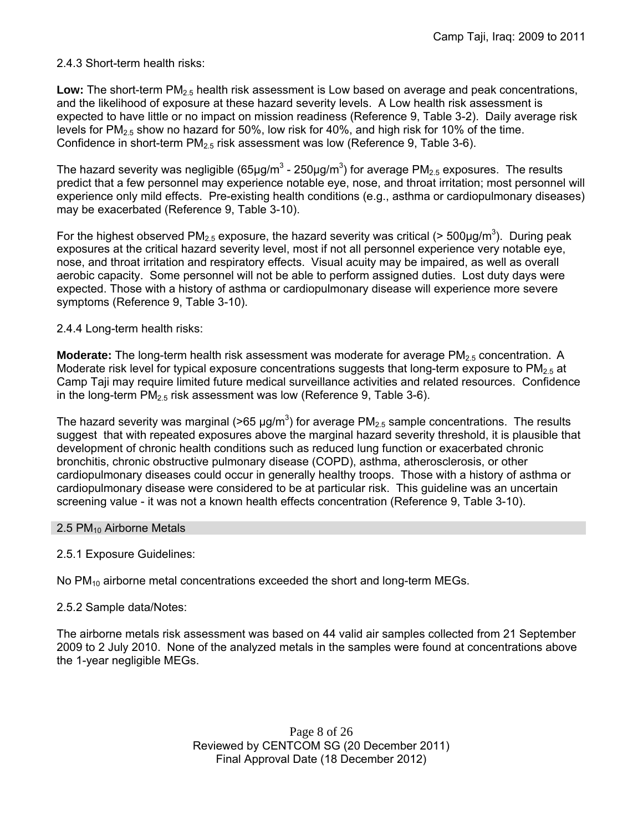## 2.4.3 Short-term health risks:

Low: The short-term PM<sub>2.5</sub> health risk assessment is Low based on average and peak concentrations, and the likelihood of exposure at these hazard severity levels. A Low health risk assessment is expected to have little or no impact on mission readiness (Reference 9, Table 3-2). Daily average risk levels for PM<sub>2.5</sub> show no hazard for 50%, low risk for 40%, and high risk for 10% of the time. Confidence in short-term  $PM_{2.5}$  risk assessment was low (Reference 9, Table 3-6).

The hazard severity was negligible (65µg/m<sup>3</sup> - 250µg/m<sup>3</sup>) for average PM<sub>2.5</sub> exposures. The results predict that a few personnel may experience notable eye, nose, and throat irritation; most personnel will experience only mild effects. Pre-existing health conditions (e.g., asthma or cardiopulmonary diseases) may be exacerbated (Reference 9, Table 3-10).

For the highest observed PM<sub>2.5</sub> exposure, the hazard severity was critical (> 500µg/m<sup>3</sup>). During peak exposures at the critical hazard severity level, most if not all personnel experience very notable eye, nose, and throat irritation and respiratory effects. Visual acuity may be impaired, as well as overall aerobic capacity. Some personnel will not be able to perform assigned duties. Lost duty days were expected. Those with a history of asthma or cardiopulmonary disease will experience more severe symptoms (Reference 9, Table 3-10).

### 2.4.4 Long-term health risks:

**Moderate:** The long-term health risk assessment was moderate for average PM<sub>2.5</sub> concentration. A Moderate risk level for typical exposure concentrations suggests that long-term exposure to  $PM<sub>2.5</sub>$  at Camp Taji may require limited future medical surveillance activities and related resources. Confidence in the long-term  $PM<sub>2.5</sub>$  risk assessment was low (Reference 9, Table 3-6).

The hazard severity was marginal (>65  $\mu$ g/m<sup>3</sup>) for average PM<sub>2.5</sub> sample concentrations. The results suggest that with repeated exposures above the marginal hazard severity threshold, it is plausible that development of chronic health conditions such as reduced lung function or exacerbated chronic bronchitis, chronic obstructive pulmonary disease (COPD), asthma, atherosclerosis, or other cardiopulmonary diseases could occur in generally healthy troops. Those with a history of asthma or cardiopulmonary disease were considered to be at particular risk. This guideline was an uncertain screening value - it was not a known health effects concentration (Reference 9, Table 3-10).

### 2.5  $PM_{10}$  Airborne Metals

## 2.5.1 Exposure Guidelines:

No  $PM_{10}$  airborne metal concentrations exceeded the short and long-term MEGs.

### 2.5.2 Sample data/Notes:

The airborne metals risk assessment was based on 44 valid air samples collected from 21 September 2009 to 2 July 2010. None of the analyzed metals in the samples were found at concentrations above the 1-year negligible MEGs.

> Page 8 of 26 Reviewed by CENTCOM SG (20 December 2011) Final Approval Date (18 December 2012)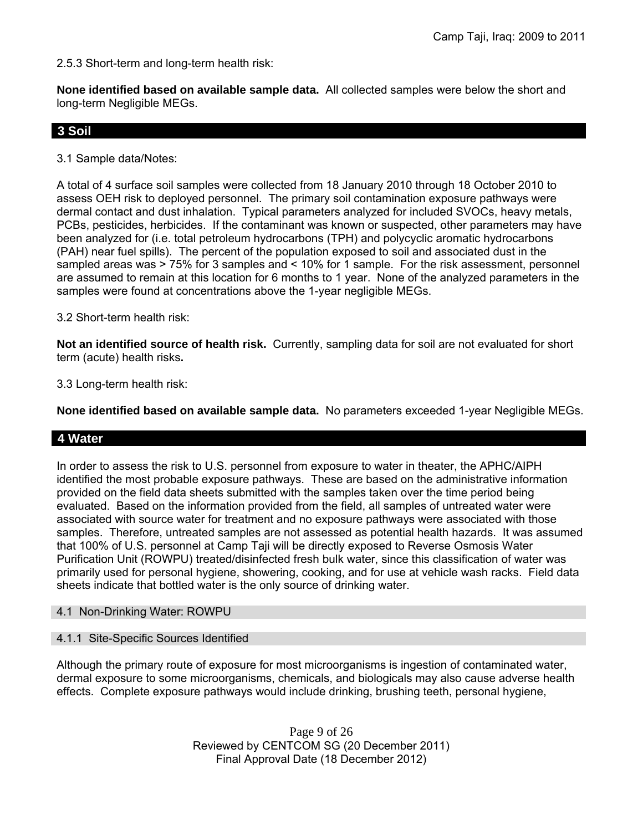2.5.3 Short-term and long-term health risk:

**None identified based on available sample data.** All collected samples were below the short and long-term Negligible MEGs.

# **3 Soil**

3.1 Sample data/Notes:

A total of 4 surface soil samples were collected from 18 January 2010 through 18 October 2010 to assess OEH risk to deployed personnel. The primary soil contamination exposure pathways were dermal contact and dust inhalation. Typical parameters analyzed for included SVOCs, heavy metals, PCBs, pesticides, herbicides. If the contaminant was known or suspected, other parameters may have been analyzed for (i.e. total petroleum hydrocarbons (TPH) and polycyclic aromatic hydrocarbons (PAH) near fuel spills). The percent of the population exposed to soil and associated dust in the sampled areas was > 75% for 3 samples and < 10% for 1 sample. For the risk assessment, personnel are assumed to remain at this location for 6 months to 1 year. None of the analyzed parameters in the samples were found at concentrations above the 1-year negligible MEGs.

3.2 Short-term health risk:

**Not an identified source of health risk.** Currently, sampling data for soil are not evaluated for short term (acute) health risks**.**

3.3 Long-term health risk:

**None identified based on available sample data.** No parameters exceeded 1-year Negligible MEGs.

## **4 Water**

In order to assess the risk to U.S. personnel from exposure to water in theater, the APHC/AIPH identified the most probable exposure pathways. These are based on the administrative information provided on the field data sheets submitted with the samples taken over the time period being evaluated. Based on the information provided from the field, all samples of untreated water were associated with source water for treatment and no exposure pathways were associated with those samples. Therefore, untreated samples are not assessed as potential health hazards. It was assumed that 100% of U.S. personnel at Camp Taji will be directly exposed to Reverse Osmosis Water Purification Unit (ROWPU) treated/disinfected fresh bulk water, since this classification of water was primarily used for personal hygiene, showering, cooking, and for use at vehicle wash racks. Field data sheets indicate that bottled water is the only source of drinking water.

### 4.1 Non-Drinking Water: ROWPU

### 4.1.1 Site-Specific Sources Identified

Although the primary route of exposure for most microorganisms is ingestion of contaminated water, dermal exposure to some microorganisms, chemicals, and biologicals may also cause adverse health effects. Complete exposure pathways would include drinking, brushing teeth, personal hygiene,

> Page 9 of 26 Reviewed by CENTCOM SG (20 December 2011) Final Approval Date (18 December 2012)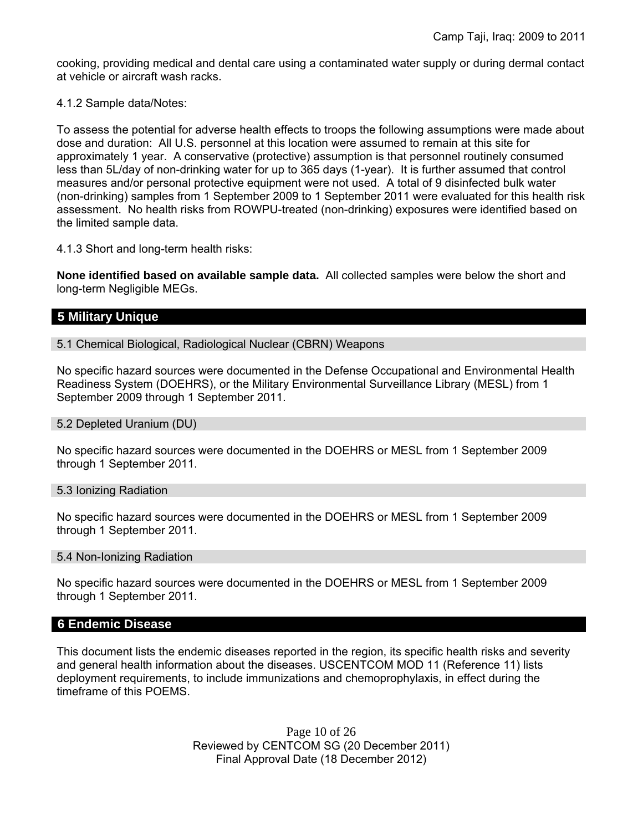cooking, providing medical and dental care using a contaminated water supply or during dermal contact at vehicle or aircraft wash racks.

4.1.2 Sample data/Notes:

To assess the potential for adverse health effects to troops the following assumptions were made about dose and duration: All U.S. personnel at this location were assumed to remain at this site for approximately 1 year. A conservative (protective) assumption is that personnel routinely consumed less than 5L/day of non-drinking water for up to 365 days (1-year). It is further assumed that control measures and/or personal protective equipment were not used. A total of 9 disinfected bulk water (non-drinking) samples from 1 September 2009 to 1 September 2011 were evaluated for this health risk assessment. No health risks from ROWPU-treated (non-drinking) exposures were identified based on the limited sample data.

4.1.3 Short and long-term health risks:

**None identified based on available sample data.** All collected samples were below the short and long-term Negligible MEGs.

# **5 Military Unique**

5.1 Chemical Biological, Radiological Nuclear (CBRN) Weapons

No specific hazard sources were documented in the Defense Occupational and Environmental Health Readiness System (DOEHRS), or the Military Environmental Surveillance Library (MESL) from 1 September 2009 through 1 September 2011.

5.2 Depleted Uranium (DU)

No specific hazard sources were documented in the DOEHRS or MESL from 1 September 2009 through 1 September 2011.

5.3 Ionizing Radiation

No specific hazard sources were documented in the DOEHRS or MESL from 1 September 2009 through 1 September 2011.

5.4 Non-Ionizing Radiation

No specific hazard sources were documented in the DOEHRS or MESL from 1 September 2009 through 1 September 2011.

## **6 Endemic Disease**

This document lists the endemic diseases reported in the region, its specific health risks and severity and general health information about the diseases. USCENTCOM MOD 11 (Reference 11) lists deployment requirements, to include immunizations and chemoprophylaxis, in effect during the timeframe of this POEMS.

> Page 10 of 26 Reviewed by CENTCOM SG (20 December 2011) Final Approval Date (18 December 2012)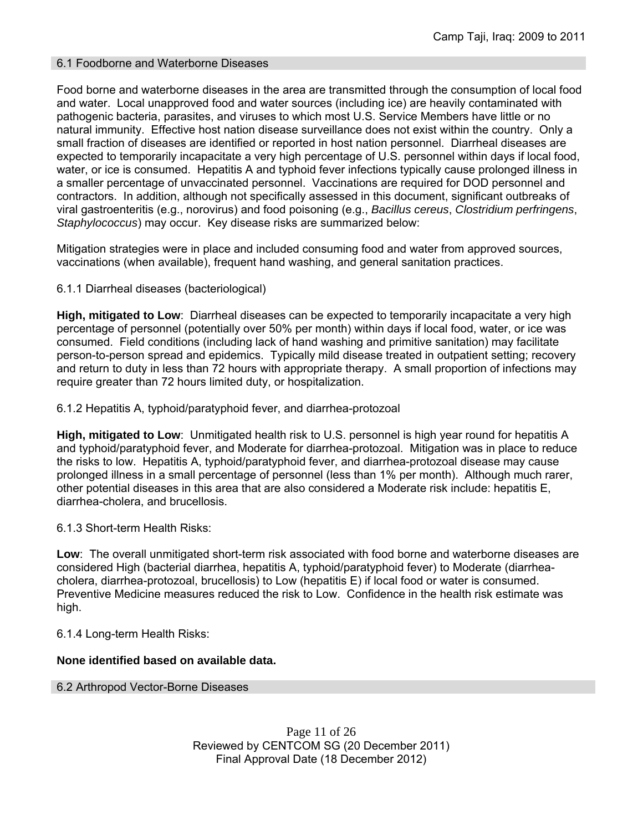### 6.1 Foodborne and Waterborne Diseases

Food borne and waterborne diseases in the area are transmitted through the consumption of local food and water. Local unapproved food and water sources (including ice) are heavily contaminated with pathogenic bacteria, parasites, and viruses to which most U.S. Service Members have little or no natural immunity. Effective host nation disease surveillance does not exist within the country. Only a small fraction of diseases are identified or reported in host nation personnel. Diarrheal diseases are expected to temporarily incapacitate a very high percentage of U.S. personnel within days if local food, water, or ice is consumed. Hepatitis A and typhoid fever infections typically cause prolonged illness in a smaller percentage of unvaccinated personnel. Vaccinations are required for DOD personnel and contractors. In addition, although not specifically assessed in this document, significant outbreaks of viral gastroenteritis (e.g., norovirus) and food poisoning (e.g., *Bacillus cereus*, *Clostridium perfringens*, *Staphylococcus*) may occur. Key disease risks are summarized below:

Mitigation strategies were in place and included consuming food and water from approved sources, vaccinations (when available), frequent hand washing, and general sanitation practices.

6.1.1 Diarrheal diseases (bacteriological)

**High, mitigated to Low**: Diarrheal diseases can be expected to temporarily incapacitate a very high percentage of personnel (potentially over 50% per month) within days if local food, water, or ice was consumed. Field conditions (including lack of hand washing and primitive sanitation) may facilitate person-to-person spread and epidemics. Typically mild disease treated in outpatient setting; recovery and return to duty in less than 72 hours with appropriate therapy. A small proportion of infections may require greater than 72 hours limited duty, or hospitalization.

6.1.2 Hepatitis A, typhoid/paratyphoid fever, and diarrhea-protozoal

**High, mitigated to Low**: Unmitigated health risk to U.S. personnel is high year round for hepatitis A and typhoid/paratyphoid fever, and Moderate for diarrhea-protozoal. Mitigation was in place to reduce the risks to low. Hepatitis A, typhoid/paratyphoid fever, and diarrhea-protozoal disease may cause prolonged illness in a small percentage of personnel (less than 1% per month). Although much rarer, other potential diseases in this area that are also considered a Moderate risk include: hepatitis E, diarrhea-cholera, and brucellosis.

6.1.3 Short-term Health Risks:

**Low**: The overall unmitigated short-term risk associated with food borne and waterborne diseases are considered High (bacterial diarrhea, hepatitis A, typhoid/paratyphoid fever) to Moderate (diarrheacholera, diarrhea-protozoal, brucellosis) to Low (hepatitis E) if local food or water is consumed. Preventive Medicine measures reduced the risk to Low. Confidence in the health risk estimate was high.

6.1.4 Long-term Health Risks:

## **None identified based on available data.**

6.2 Arthropod Vector-Borne Diseases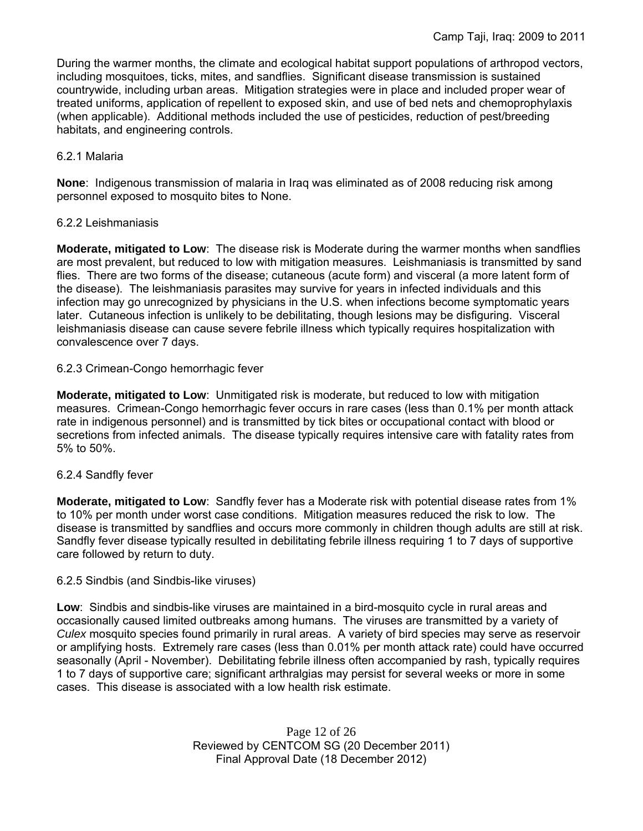During the warmer months, the climate and ecological habitat support populations of arthropod vectors, including mosquitoes, ticks, mites, and sandflies. Significant disease transmission is sustained countrywide, including urban areas. Mitigation strategies were in place and included proper wear of treated uniforms, application of repellent to exposed skin, and use of bed nets and chemoprophylaxis (when applicable). Additional methods included the use of pesticides, reduction of pest/breeding habitats, and engineering controls.

### 6.2.1 Malaria

**None**: Indigenous transmission of malaria in Iraq was eliminated as of 2008 reducing risk among personnel exposed to mosquito bites to None.

### 6.2.2 Leishmaniasis

**Moderate, mitigated to Low**: The disease risk is Moderate during the warmer months when sandflies are most prevalent, but reduced to low with mitigation measures. Leishmaniasis is transmitted by sand flies. There are two forms of the disease; cutaneous (acute form) and visceral (a more latent form of the disease). The leishmaniasis parasites may survive for years in infected individuals and this infection may go unrecognized by physicians in the U.S. when infections become symptomatic years later. Cutaneous infection is unlikely to be debilitating, though lesions may be disfiguring. Visceral leishmaniasis disease can cause severe febrile illness which typically requires hospitalization with convalescence over 7 days.

### 6.2.3 Crimean-Congo hemorrhagic fever

**Moderate, mitigated to Low**: Unmitigated risk is moderate, but reduced to low with mitigation measures. Crimean-Congo hemorrhagic fever occurs in rare cases (less than 0.1% per month attack rate in indigenous personnel) and is transmitted by tick bites or occupational contact with blood or secretions from infected animals. The disease typically requires intensive care with fatality rates from 5% to 50%.

## 6.2.4 Sandfly fever

**Moderate, mitigated to Low**: Sandfly fever has a Moderate risk with potential disease rates from 1% to 10% per month under worst case conditions. Mitigation measures reduced the risk to low. The disease is transmitted by sandflies and occurs more commonly in children though adults are still at risk. Sandfly fever disease typically resulted in debilitating febrile illness requiring 1 to 7 days of supportive care followed by return to duty.

### 6.2.5 Sindbis (and Sindbis-like viruses)

**Low**: Sindbis and sindbis-like viruses are maintained in a bird-mosquito cycle in rural areas and occasionally caused limited outbreaks among humans. The viruses are transmitted by a variety of *Culex* mosquito species found primarily in rural areas. A variety of bird species may serve as reservoir or amplifying hosts. Extremely rare cases (less than 0.01% per month attack rate) could have occurred seasonally (April - November). Debilitating febrile illness often accompanied by rash, typically requires 1 to 7 days of supportive care; significant arthralgias may persist for several weeks or more in some cases. This disease is associated with a low health risk estimate.

> Page 12 of 26 Reviewed by CENTCOM SG (20 December 2011) Final Approval Date (18 December 2012)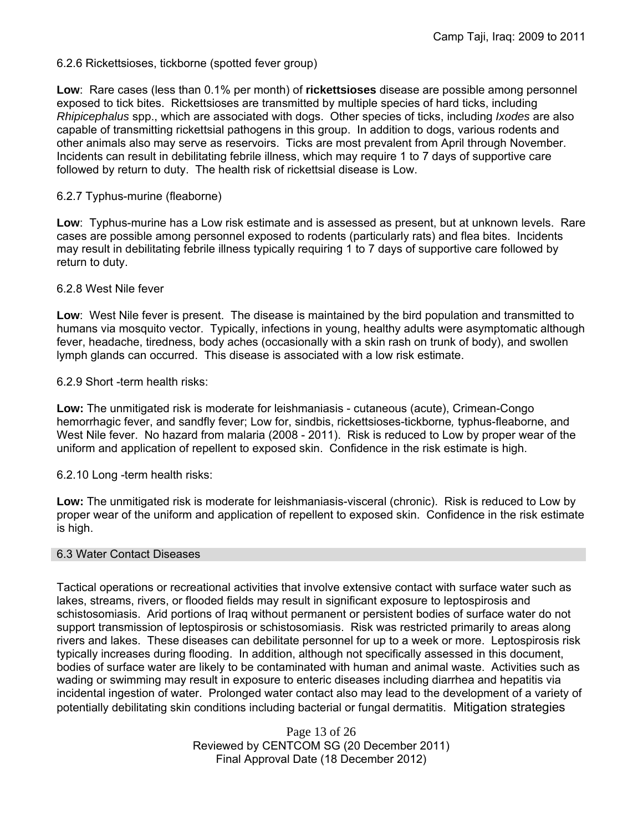6.2.6 Rickettsioses, tickborne (spotted fever group)

**Low**: Rare cases (less than 0.1% per month) of **rickettsioses** disease are possible among personnel exposed to tick bites. Rickettsioses are transmitted by multiple species of hard ticks, including *Rhipicephalus* spp., which are associated with dogs. Other species of ticks, including *Ixodes* are also capable of transmitting rickettsial pathogens in this group. In addition to dogs, various rodents and other animals also may serve as reservoirs. Ticks are most prevalent from April through November. Incidents can result in debilitating febrile illness, which may require 1 to 7 days of supportive care followed by return to duty. The health risk of rickettsial disease is Low.

### 6.2.7 Typhus-murine (fleaborne)

**Low**: Typhus-murine has a Low risk estimate and is assessed as present, but at unknown levels. Rare cases are possible among personnel exposed to rodents (particularly rats) and flea bites. Incidents may result in debilitating febrile illness typically requiring 1 to 7 days of supportive care followed by return to duty.

### 6.2.8 West Nile fever

**Low**: West Nile fever is present. The disease is maintained by the bird population and transmitted to humans via mosquito vector. Typically, infections in young, healthy adults were asymptomatic although fever, headache, tiredness, body aches (occasionally with a skin rash on trunk of body), and swollen lymph glands can occurred. This disease is associated with a low risk estimate.

### 6.2.9 Short -term health risks:

**Low:** The unmitigated risk is moderate for leishmaniasis - cutaneous (acute), Crimean-Congo hemorrhagic fever, and sandfly fever; Low for, sindbis, rickettsioses-tickborne*,* typhus-fleaborne, and West Nile fever. No hazard from malaria (2008 - 2011). Risk is reduced to Low by proper wear of the uniform and application of repellent to exposed skin. Confidence in the risk estimate is high.

6.2.10 Long -term health risks:

**Low:** The unmitigated risk is moderate for leishmaniasis-visceral (chronic). Risk is reduced to Low by proper wear of the uniform and application of repellent to exposed skin. Confidence in the risk estimate is high.

### 6.3 Water Contact Diseases

Tactical operations or recreational activities that involve extensive contact with surface water such as lakes, streams, rivers, or flooded fields may result in significant exposure to leptospirosis and schistosomiasis. Arid portions of Iraq without permanent or persistent bodies of surface water do not support transmission of leptospirosis or schistosomiasis. Risk was restricted primarily to areas along rivers and lakes. These diseases can debilitate personnel for up to a week or more. Leptospirosis risk typically increases during flooding. In addition, although not specifically assessed in this document, bodies of surface water are likely to be contaminated with human and animal waste. Activities such as wading or swimming may result in exposure to enteric diseases including diarrhea and hepatitis via incidental ingestion of water. Prolonged water contact also may lead to the development of a variety of potentially debilitating skin conditions including bacterial or fungal dermatitis. Mitigation strategies

> Page 13 of 26 Reviewed by CENTCOM SG (20 December 2011) Final Approval Date (18 December 2012)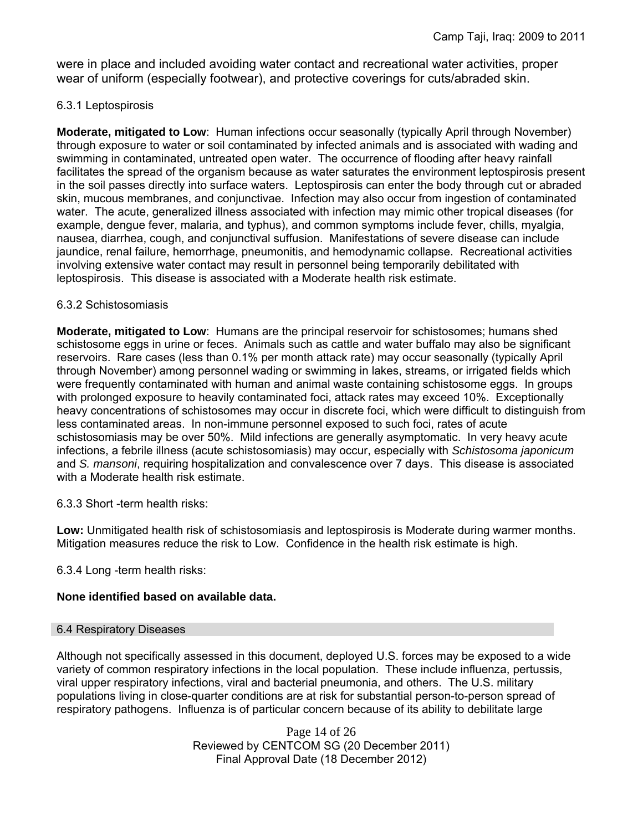were in place and included avoiding water contact and recreational water activities, proper wear of uniform (especially footwear), and protective coverings for cuts/abraded skin.

### 6.3.1 Leptospirosis

**Moderate, mitigated to Low**: Human infections occur seasonally (typically April through November) through exposure to water or soil contaminated by infected animals and is associated with wading and swimming in contaminated, untreated open water. The occurrence of flooding after heavy rainfall facilitates the spread of the organism because as water saturates the environment leptospirosis present in the soil passes directly into surface waters. Leptospirosis can enter the body through cut or abraded skin, mucous membranes, and conjunctivae. Infection may also occur from ingestion of contaminated water. The acute, generalized illness associated with infection may mimic other tropical diseases (for example, dengue fever, malaria, and typhus), and common symptoms include fever, chills, myalgia, nausea, diarrhea, cough, and conjunctival suffusion. Manifestations of severe disease can include jaundice, renal failure, hemorrhage, pneumonitis, and hemodynamic collapse. Recreational activities involving extensive water contact may result in personnel being temporarily debilitated with leptospirosis. This disease is associated with a Moderate health risk estimate.

### 6.3.2 Schistosomiasis

**Moderate, mitigated to Low**: Humans are the principal reservoir for schistosomes; humans shed schistosome eggs in urine or feces. Animals such as cattle and water buffalo may also be significant reservoirs. Rare cases (less than 0.1% per month attack rate) may occur seasonally (typically April through November) among personnel wading or swimming in lakes, streams, or irrigated fields which were frequently contaminated with human and animal waste containing schistosome eggs. In groups with prolonged exposure to heavily contaminated foci, attack rates may exceed 10%. Exceptionally heavy concentrations of schistosomes may occur in discrete foci, which were difficult to distinguish from less contaminated areas. In non-immune personnel exposed to such foci, rates of acute schistosomiasis may be over 50%. Mild infections are generally asymptomatic. In very heavy acute infections, a febrile illness (acute schistosomiasis) may occur, especially with *Schistosoma japonicum*  and *S. mansoni*, requiring hospitalization and convalescence over 7 days. This disease is associated with a Moderate health risk estimate.

6.3.3 Short -term health risks:

**Low:** Unmitigated health risk of schistosomiasis and leptospirosis is Moderate during warmer months. Mitigation measures reduce the risk to Low. Confidence in the health risk estimate is high.

6.3.4 Long -term health risks:

## **None identified based on available data.**

### 6.4 Respiratory Diseases

Although not specifically assessed in this document, deployed U.S. forces may be exposed to a wide variety of common respiratory infections in the local population. These include influenza, pertussis, viral upper respiratory infections, viral and bacterial pneumonia, and others. The U.S. military populations living in close-quarter conditions are at risk for substantial person-to-person spread of respiratory pathogens. Influenza is of particular concern because of its ability to debilitate large

> Page 14 of 26 Reviewed by CENTCOM SG (20 December 2011) Final Approval Date (18 December 2012)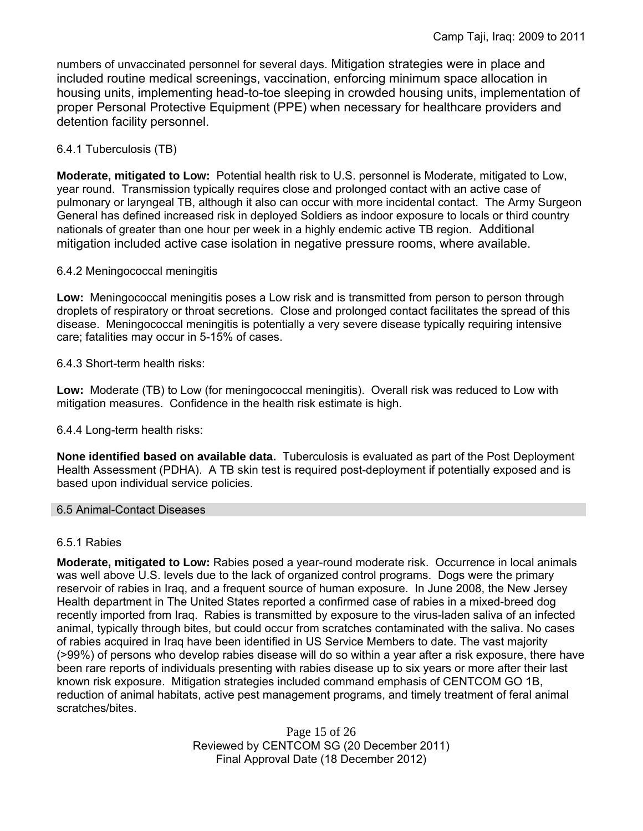numbers of unvaccinated personnel for several days. Mitigation strategies were in place and included routine medical screenings, vaccination, enforcing minimum space allocation in housing units, implementing head-to-toe sleeping in crowded housing units, implementation of proper Personal Protective Equipment (PPE) when necessary for healthcare providers and detention facility personnel.

# 6.4.1 Tuberculosis (TB)

**Moderate, mitigated to Low:** Potential health risk to U.S. personnel is Moderate, mitigated to Low, year round. Transmission typically requires close and prolonged contact with an active case of pulmonary or laryngeal TB, although it also can occur with more incidental contact. The Army Surgeon General has defined increased risk in deployed Soldiers as indoor exposure to locals or third country nationals of greater than one hour per week in a highly endemic active TB region. Additional mitigation included active case isolation in negative pressure rooms, where available.

## 6.4.2 Meningococcal meningitis

**Low:** Meningococcal meningitis poses a Low risk and is transmitted from person to person through droplets of respiratory or throat secretions. Close and prolonged contact facilitates the spread of this disease. Meningococcal meningitis is potentially a very severe disease typically requiring intensive care; fatalities may occur in 5-15% of cases.

6.4.3 Short-term health risks:

**Low:** Moderate (TB) to Low (for meningococcal meningitis). Overall risk was reduced to Low with mitigation measures. Confidence in the health risk estimate is high.

6.4.4 Long-term health risks:

**None identified based on available data.** Tuberculosis is evaluated as part of the Post Deployment Health Assessment (PDHA). A TB skin test is required post-deployment if potentially exposed and is based upon individual service policies.

### 6.5 Animal-Contact Diseases

## 6.5.1 Rabies

**Moderate, mitigated to Low:** Rabies posed a year-round moderate risk. Occurrence in local animals was well above U.S. levels due to the lack of organized control programs. Dogs were the primary reservoir of rabies in Iraq, and a frequent source of human exposure. In June 2008, the New Jersey Health department in The United States reported a confirmed case of rabies in a mixed-breed dog recently imported from Iraq. Rabies is transmitted by exposure to the virus-laden saliva of an infected animal, typically through bites, but could occur from scratches contaminated with the saliva. No cases of rabies acquired in Iraq have been identified in US Service Members to date. The vast majority (>99%) of persons who develop rabies disease will do so within a year after a risk exposure, there have been rare reports of individuals presenting with rabies disease up to six years or more after their last known risk exposure. Mitigation strategies included command emphasis of CENTCOM GO 1B, reduction of animal habitats, active pest management programs, and timely treatment of feral animal scratches/bites.

> Page 15 of 26 Reviewed by CENTCOM SG (20 December 2011) Final Approval Date (18 December 2012)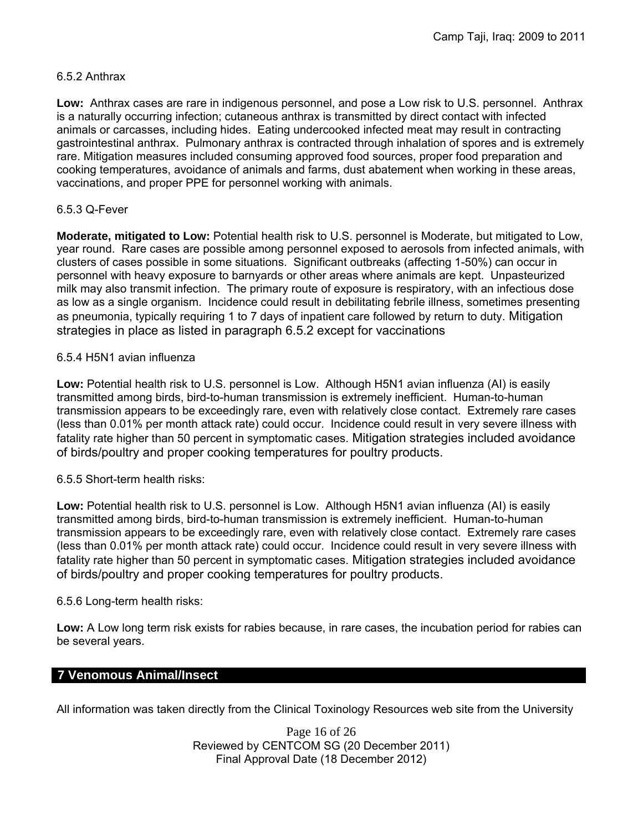### 6.5.2 Anthrax

**Low:** Anthrax cases are rare in indigenous personnel, and pose a Low risk to U.S. personnel. Anthrax is a naturally occurring infection; cutaneous anthrax is transmitted by direct contact with infected animals or carcasses, including hides. Eating undercooked infected meat may result in contracting gastrointestinal anthrax. Pulmonary anthrax is contracted through inhalation of spores and is extremely rare. Mitigation measures included consuming approved food sources, proper food preparation and cooking temperatures, avoidance of animals and farms, dust abatement when working in these areas, vaccinations, and proper PPE for personnel working with animals.

## 6.5.3 Q-Fever

**Moderate, mitigated to Low:** Potential health risk to U.S. personnel is Moderate, but mitigated to Low, year round. Rare cases are possible among personnel exposed to aerosols from infected animals, with clusters of cases possible in some situations. Significant outbreaks (affecting 1-50%) can occur in personnel with heavy exposure to barnyards or other areas where animals are kept. Unpasteurized milk may also transmit infection. The primary route of exposure is respiratory, with an infectious dose as low as a single organism. Incidence could result in debilitating febrile illness, sometimes presenting as pneumonia, typically requiring 1 to 7 days of inpatient care followed by return to duty. Mitigation strategies in place as listed in paragraph 6.5.2 except for vaccinations

### 6.5.4 H5N1 avian influenza

**Low:** Potential health risk to U.S. personnel is Low. Although H5N1 avian influenza (AI) is easily transmitted among birds, bird-to-human transmission is extremely inefficient. Human-to-human transmission appears to be exceedingly rare, even with relatively close contact. Extremely rare cases (less than 0.01% per month attack rate) could occur. Incidence could result in very severe illness with fatality rate higher than 50 percent in symptomatic cases. Mitigation strategies included avoidance of birds/poultry and proper cooking temperatures for poultry products.

## 6.5.5 Short-term health risks:

**Low:** Potential health risk to U.S. personnel is Low. Although H5N1 avian influenza (AI) is easily transmitted among birds, bird-to-human transmission is extremely inefficient. Human-to-human transmission appears to be exceedingly rare, even with relatively close contact. Extremely rare cases (less than 0.01% per month attack rate) could occur. Incidence could result in very severe illness with fatality rate higher than 50 percent in symptomatic cases. Mitigation strategies included avoidance of birds/poultry and proper cooking temperatures for poultry products.

## 6.5.6 Long-term health risks:

**Low:** A Low long term risk exists for rabies because, in rare cases, the incubation period for rabies can be several years.

# **7 Venomous Animal/Insect**

All information was taken directly from the Clinical Toxinology Resources web site from the University

Page 16 of 26 Reviewed by CENTCOM SG (20 December 2011) Final Approval Date (18 December 2012)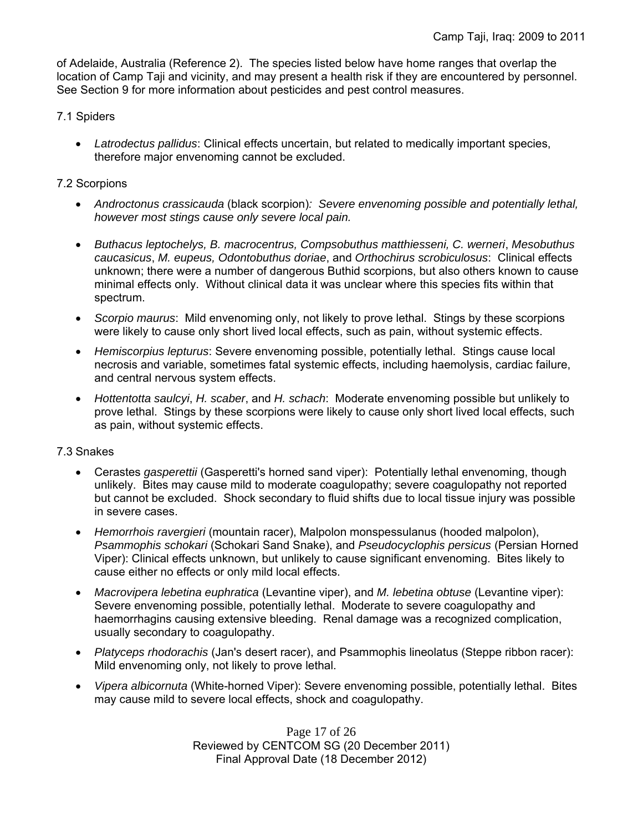of Adelaide, Australia (Reference 2). The species listed below have home ranges that overlap the location of Camp Taji and vicinity, and may present a health risk if they are encountered by personnel. See Section 9 for more information about pesticides and pest control measures.

### 7.1 Spiders

 *Latrodectus pallidus*: Clinical effects uncertain, but related to medically important species, therefore major envenoming cannot be excluded.

### 7.2 Scorpions

- *Androctonus crassicauda* (black scorpion)*: Severe envenoming possible and potentially lethal, however most stings cause only severe local pain.*
- *Buthacus leptochelys, B. macrocentrus, Compsobuthus matthiesseni, C. werneri*, *Mesobuthus caucasicus*, *M. eupeus, Odontobuthus doriae*, and *Orthochirus scrobiculosus*: Clinical effects unknown; there were a number of dangerous Buthid scorpions, but also others known to cause minimal effects only. Without clinical data it was unclear where this species fits within that spectrum.
- *Scorpio maurus*: Mild envenoming only, not likely to prove lethal. Stings by these scorpions were likely to cause only short lived local effects, such as pain, without systemic effects.
- *Hemiscorpius lepturus*: Severe envenoming possible, potentially lethal. Stings cause local necrosis and variable, sometimes fatal systemic effects, including haemolysis, cardiac failure, and central nervous system effects.
- *Hottentotta saulcyi*, *H. scaber*, and *H. schach*: Moderate envenoming possible but unlikely to prove lethal. Stings by these scorpions were likely to cause only short lived local effects, such as pain, without systemic effects.

### 7.3 Snakes

- Cerastes *gasperettii* (Gasperetti's horned sand viper): Potentially lethal envenoming, though unlikely. Bites may cause mild to moderate coagulopathy; severe coagulopathy not reported but cannot be excluded. Shock secondary to fluid shifts due to local tissue injury was possible in severe cases.
- *Hemorrhois ravergieri* (mountain racer), Malpolon monspessulanus (hooded malpolon), *Psammophis schokari* (Schokari Sand Snake), and *Pseudocyclophis persicus* (Persian Horned Viper): Clinical effects unknown, but unlikely to cause significant envenoming. Bites likely to cause either no effects or only mild local effects.
- *Macrovipera lebetina euphratica* (Levantine viper), and *M. lebetina obtuse* (Levantine viper): Severe envenoming possible, potentially lethal. Moderate to severe coagulopathy and haemorrhagins causing extensive bleeding. Renal damage was a recognized complication, usually secondary to coagulopathy.
- *Platyceps rhodorachis* (Jan's desert racer), and Psammophis lineolatus (Steppe ribbon racer): Mild envenoming only, not likely to prove lethal.
- *Vipera albicornuta* (White-horned Viper): Severe envenoming possible, potentially lethal. Bites may cause mild to severe local effects, shock and coagulopathy.

Page 17 of 26 Reviewed by CENTCOM SG (20 December 2011) Final Approval Date (18 December 2012)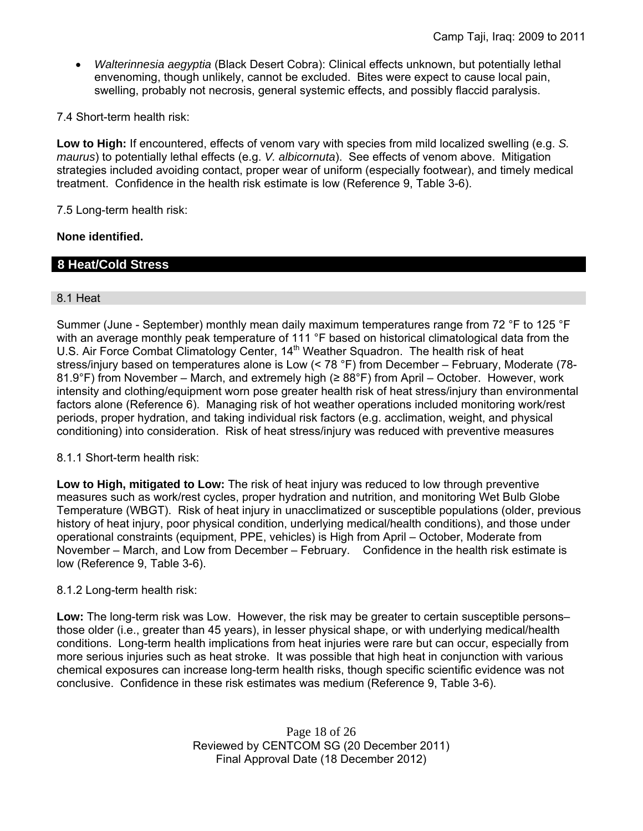*Walterinnesia aegyptia* (Black Desert Cobra): Clinical effects unknown, but potentially lethal envenoming, though unlikely, cannot be excluded. Bites were expect to cause local pain, swelling, probably not necrosis, general systemic effects, and possibly flaccid paralysis.

7.4 Short-term health risk:

**Low to High:** If encountered, effects of venom vary with species from mild localized swelling (e.g. *S. maurus*) to potentially lethal effects (e.g. *V. albicornuta*). See effects of venom above. Mitigation strategies included avoiding contact, proper wear of uniform (especially footwear), and timely medical treatment. Confidence in the health risk estimate is low (Reference 9, Table 3-6).

7.5 Long-term health risk:

### **None identified.**

# **8 Heat/Cold Stress**

### 8.1 Heat

Summer (June - September) monthly mean daily maximum temperatures range from 72 °F to 125 °F with an average monthly peak temperature of 111 °F based on historical climatological data from the U.S. Air Force Combat Climatology Center, 14<sup>th</sup> Weather Squadron. The health risk of heat stress/injury based on temperatures alone is Low (< 78 °F) from December – February, Moderate (78- 81.9°F) from November – March, and extremely high (≥ 88°F) from April – October. However, work intensity and clothing/equipment worn pose greater health risk of heat stress/injury than environmental factors alone (Reference 6). Managing risk of hot weather operations included monitoring work/rest periods, proper hydration, and taking individual risk factors (e.g. acclimation, weight, and physical conditioning) into consideration. Risk of heat stress/injury was reduced with preventive measures

### 8.1.1 Short-term health risk:

**Low to High, mitigated to Low:** The risk of heat injury was reduced to low through preventive measures such as work/rest cycles, proper hydration and nutrition, and monitoring Wet Bulb Globe Temperature (WBGT). Risk of heat injury in unacclimatized or susceptible populations (older, previous history of heat injury, poor physical condition, underlying medical/health conditions), and those under operational constraints (equipment, PPE, vehicles) is High from April – October, Moderate from November – March, and Low from December – February. Confidence in the health risk estimate is low (Reference 9, Table 3-6).

### 8.1.2 Long-term health risk:

**Low:** The long-term risk was Low. However, the risk may be greater to certain susceptible persons– those older (i.e., greater than 45 years), in lesser physical shape, or with underlying medical/health conditions. Long-term health implications from heat injuries were rare but can occur, especially from more serious injuries such as heat stroke. It was possible that high heat in conjunction with various chemical exposures can increase long-term health risks, though specific scientific evidence was not conclusive. Confidence in these risk estimates was medium (Reference 9, Table 3-6).

> Page 18 of 26 Reviewed by CENTCOM SG (20 December 2011) Final Approval Date (18 December 2012)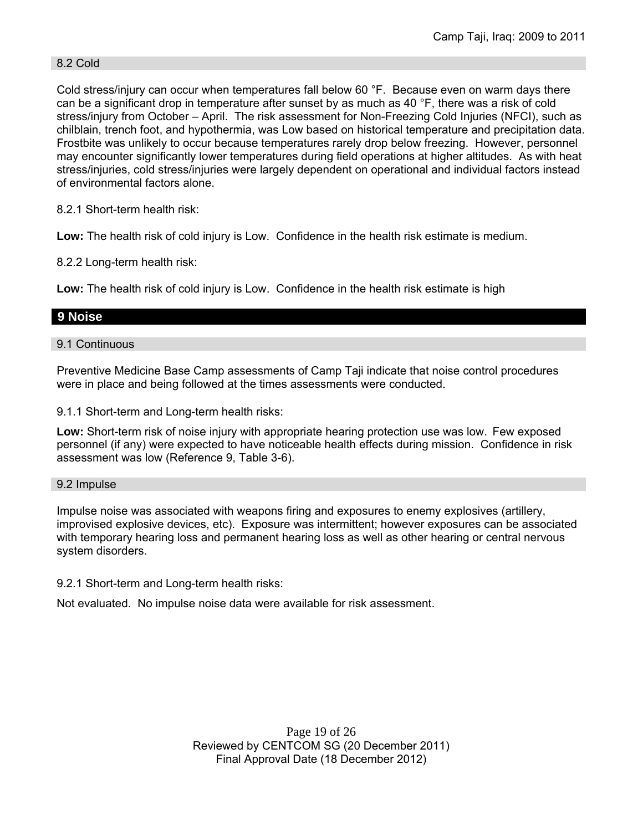### 8.2 Cold

Cold stress/injury can occur when temperatures fall below 60 °F. Because even on warm days there can be a significant drop in temperature after sunset by as much as 40 °F, there was a risk of cold stress/injury from October – April. The risk assessment for Non-Freezing Cold Injuries (NFCI), such as chilblain, trench foot, and hypothermia, was Low based on historical temperature and precipitation data. Frostbite was unlikely to occur because temperatures rarely drop below freezing. However, personnel may encounter significantly lower temperatures during field operations at higher altitudes. As with heat stress/injuries, cold stress/injuries were largely dependent on operational and individual factors instead of environmental factors alone.

8.2.1 Short-term health risk:

**Low:** The health risk of cold injury is Low. Confidence in the health risk estimate is medium.

8.2.2 Long-term health risk:

**Low:** The health risk of cold injury is Low. Confidence in the health risk estimate is high

## **9 Noise**

9.1 Continuous

Preventive Medicine Base Camp assessments of Camp Taji indicate that noise control procedures were in place and being followed at the times assessments were conducted.

9.1.1 Short-term and Long-term health risks:

**Low:** Short-term risk of noise injury with appropriate hearing protection use was low. Few exposed personnel (if any) were expected to have noticeable health effects during mission. Confidence in risk assessment was low (Reference 9, Table 3-6).

### 9.2 Impulse

Impulse noise was associated with weapons firing and exposures to enemy explosives (artillery, improvised explosive devices, etc). Exposure was intermittent; however exposures can be associated with temporary hearing loss and permanent hearing loss as well as other hearing or central nervous system disorders.

### 9.2.1 Short-term and Long-term health risks:

Not evaluated. No impulse noise data were available for risk assessment.

Page 19 of 26 Reviewed by CENTCOM SG (20 December 2011) Final Approval Date (18 December 2012)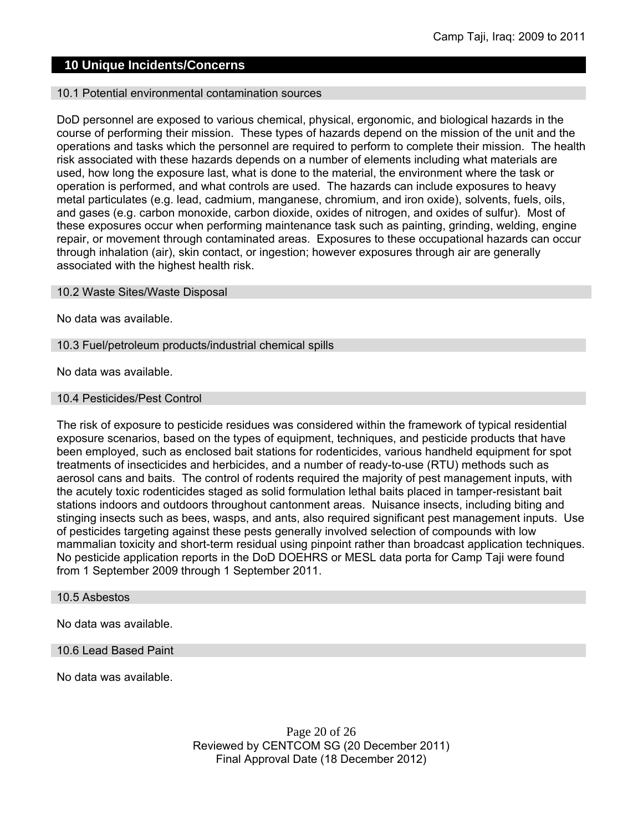# **10 Unique Incidents/Concerns**

#### 10.1 Potential environmental contamination sources

DoD personnel are exposed to various chemical, physical, ergonomic, and biological hazards in the course of performing their mission. These types of hazards depend on the mission of the unit and the operations and tasks which the personnel are required to perform to complete their mission. The health risk associated with these hazards depends on a number of elements including what materials are used, how long the exposure last, what is done to the material, the environment where the task or operation is performed, and what controls are used. The hazards can include exposures to heavy metal particulates (e.g. lead, cadmium, manganese, chromium, and iron oxide), solvents, fuels, oils, and gases (e.g. carbon monoxide, carbon dioxide, oxides of nitrogen, and oxides of sulfur). Most of these exposures occur when performing maintenance task such as painting, grinding, welding, engine repair, or movement through contaminated areas. Exposures to these occupational hazards can occur through inhalation (air), skin contact, or ingestion; however exposures through air are generally associated with the highest health risk.

#### 10.2 Waste Sites/Waste Disposal

No data was available.

#### 10.3 Fuel/petroleum products/industrial chemical spills

No data was available.

#### 10.4 Pesticides/Pest Control

The risk of exposure to pesticide residues was considered within the framework of typical residential exposure scenarios, based on the types of equipment, techniques, and pesticide products that have been employed, such as enclosed bait stations for rodenticides, various handheld equipment for spot treatments of insecticides and herbicides, and a number of ready-to-use (RTU) methods such as aerosol cans and baits. The control of rodents required the majority of pest management inputs, with the acutely toxic rodenticides staged as solid formulation lethal baits placed in tamper-resistant bait stations indoors and outdoors throughout cantonment areas. Nuisance insects, including biting and stinging insects such as bees, wasps, and ants, also required significant pest management inputs. Use of pesticides targeting against these pests generally involved selection of compounds with low mammalian toxicity and short-term residual using pinpoint rather than broadcast application techniques. No pesticide application reports in the DoD DOEHRS or MESL data porta for Camp Taji were found from 1 September 2009 through 1 September 2011.

#### 10.5 Asbestos

No data was available.

#### 10.6 Lead Based Paint

No data was available.

Page 20 of 26 Reviewed by CENTCOM SG (20 December 2011) Final Approval Date (18 December 2012)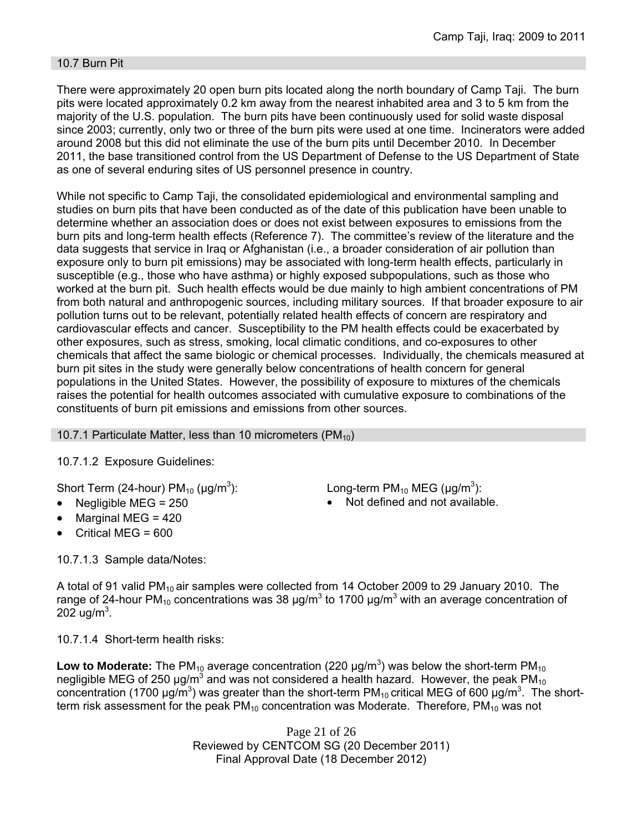### 10.7 Burn Pit

There were approximately 20 open burn pits located along the north boundary of Camp Taji. The burn pits were located approximately 0.2 km away from the nearest inhabited area and 3 to 5 km from the majority of the U.S. population. The burn pits have been continuously used for solid waste disposal since 2003; currently, only two or three of the burn pits were used at one time. Incinerators were added around 2008 but this did not eliminate the use of the burn pits until December 2010. In December 2011, the base transitioned control from the US Department of Defense to the US Department of State as one of several enduring sites of US personnel presence in country.

While not specific to Camp Taji, the consolidated epidemiological and environmental sampling and studies on burn pits that have been conducted as of the date of this publication have been unable to determine whether an association does or does not exist between exposures to emissions from the burn pits and long-term health effects (Reference 7). The committee's review of the literature and the data suggests that service in Iraq or Afghanistan (i.e., a broader consideration of air pollution than exposure only to burn pit emissions) may be associated with long-term health effects, particularly in susceptible (e.g., those who have asthma) or highly exposed subpopulations, such as those who worked at the burn pit. Such health effects would be due mainly to high ambient concentrations of PM from both natural and anthropogenic sources, including military sources. If that broader exposure to air pollution turns out to be relevant, potentially related health effects of concern are respiratory and cardiovascular effects and cancer. Susceptibility to the PM health effects could be exacerbated by other exposures, such as stress, smoking, local climatic conditions, and co-exposures to other chemicals that affect the same biologic or chemical processes. Individually, the chemicals measured at burn pit sites in the study were generally below concentrations of health concern for general populations in the United States. However, the possibility of exposure to mixtures of the chemicals raises the potential for health outcomes associated with cumulative exposure to combinations of the constituents of burn pit emissions and emissions from other sources.

10.7.1 Particulate Matter, less than 10 micrometers (PM $_{10}$ )

10.7.1.2 Exposure Guidelines:

Short Term (24-hour)  $PM_{10}$  ( $\mu$ g/m<sup>3</sup>):

- 
- Marginal MEG = 420
- Critical MEG = 600

): Long-term PM<sub>10</sub> MEG ( $\mu$ g/m<sup>3</sup>):

Negligible  $MEG = 250$  Not defined and not available.

10.7.1.3 Sample data/Notes:

A total of 91 valid PM<sub>10</sub> air samples were collected from 14 October 2009 to 29 January 2010. The range of 24-hour PM<sub>10</sub> concentrations was 38 μg/m<sup>3</sup> to 1700 μg/m<sup>3</sup> with an average concentration of  $202 \text{ ug/m}^3$ .

10.7.1.4 Short-term health risks:

Low to Moderate: The PM<sub>10</sub> average concentration (220  $\mu$ g/m<sup>3</sup>) was below the short-term PM<sub>10</sub> negligible MEG of 250  $\mu$ g/m<sup>3</sup> and was not considered a health hazard. However, the peak PM<sub>10</sub> concentration (1700 µg/m<sup>3</sup>) was greater than the short-term PM<sub>10</sub> critical MEG of 600 µg/m<sup>3</sup>. The shortterm risk assessment for the peak  $PM_{10}$  concentration was Moderate. Therefore,  $PM_{10}$  was not

> Page 21 of 26 Reviewed by CENTCOM SG (20 December 2011) Final Approval Date (18 December 2012)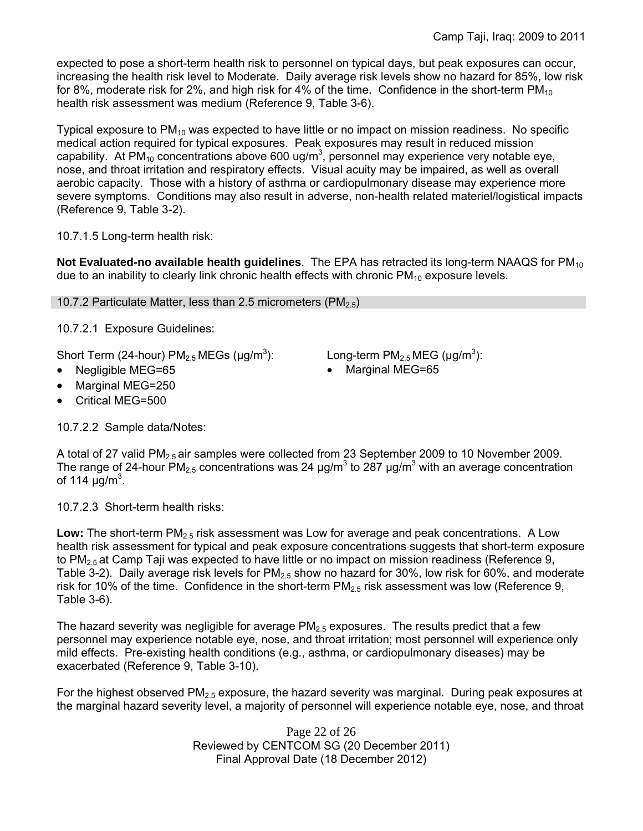expected to pose a short-term health risk to personnel on typical days, but peak exposures can occur, increasing the health risk level to Moderate. Daily average risk levels show no hazard for 85%, low risk for 8%, moderate risk for 2%, and high risk for 4% of the time. Confidence in the short-term  $PM_{10}$ health risk assessment was medium (Reference 9, Table 3-6).

Typical exposure to  $PM_{10}$  was expected to have little or no impact on mission readiness. No specific medical action required for typical exposures. Peak exposures may result in reduced mission capability. At PM<sub>10</sub> concentrations above 600 ug/m<sup>3</sup>, personnel may experience very notable eye, nose, and throat irritation and respiratory effects. Visual acuity may be impaired, as well as overall aerobic capacity. Those with a history of asthma or cardiopulmonary disease may experience more severe symptoms. Conditions may also result in adverse, non-health related materiel/logistical impacts (Reference 9, Table 3-2).

10.7.1.5 Long-term health risk:

**Not Evaluated-no available health quidelines**. The EPA has retracted its long-term NAAQS for PM<sub>10</sub> due to an inability to clearly link chronic health effects with chronic  $PM_{10}$  exposure levels.

10.7.2 Particulate Matter, less than 2.5 micrometers (PM<sub>2.5</sub>)

10.7.2.1 Exposure Guidelines:

Short Term (24-hour)  $PM_{2.5}$  MEGs ( $\mu$ g/m<sup>3</sup>):

- 
- Marginal MEG=250
- Critical MEG=500

10.7.2.2 Sample data/Notes:

): Long-term  $PM_{2.5}$  MEG ( $\mu$ g/m<sup>3</sup>):

Negligible MEG=65 Vertext Marginal MEG=65 Vertext Vertext Marginal MEG=65

A total of 27 valid PM<sub>2.5</sub> air samples were collected from 23 September 2009 to 10 November 2009. The range of 24-hour PM<sub>2.5</sub> concentrations was 24  $\mu$ g/m<sup>3</sup> to 287  $\mu$ g/m<sup>3</sup> with an average concentration of 114  $\mu$ g/m<sup>3</sup>.

10.7.2.3 Short-term health risks:

Low: The short-term PM<sub>2.5</sub> risk assessment was Low for average and peak concentrations. A Low health risk assessment for typical and peak exposure concentrations suggests that short-term exposure to  $PM_{2.5}$  at Camp Taji was expected to have little or no impact on mission readiness (Reference 9, Table 3-2). Daily average risk levels for  $PM_{2.5}$  show no hazard for 30%, low risk for 60%, and moderate risk for 10% of the time. Confidence in the short-term  $PM_{2.5}$  risk assessment was low (Reference 9, Table 3-6).

The hazard severity was negligible for average  $PM_{2.5}$  exposures. The results predict that a few personnel may experience notable eye, nose, and throat irritation; most personnel will experience only mild effects. Pre-existing health conditions (e.g., asthma, or cardiopulmonary diseases) may be exacerbated (Reference 9, Table 3-10).

For the highest observed  $PM<sub>2.5</sub>$  exposure, the hazard severity was marginal. During peak exposures at the marginal hazard severity level, a majority of personnel will experience notable eye, nose, and throat

> Page 22 of 26 Reviewed by CENTCOM SG (20 December 2011) Final Approval Date (18 December 2012)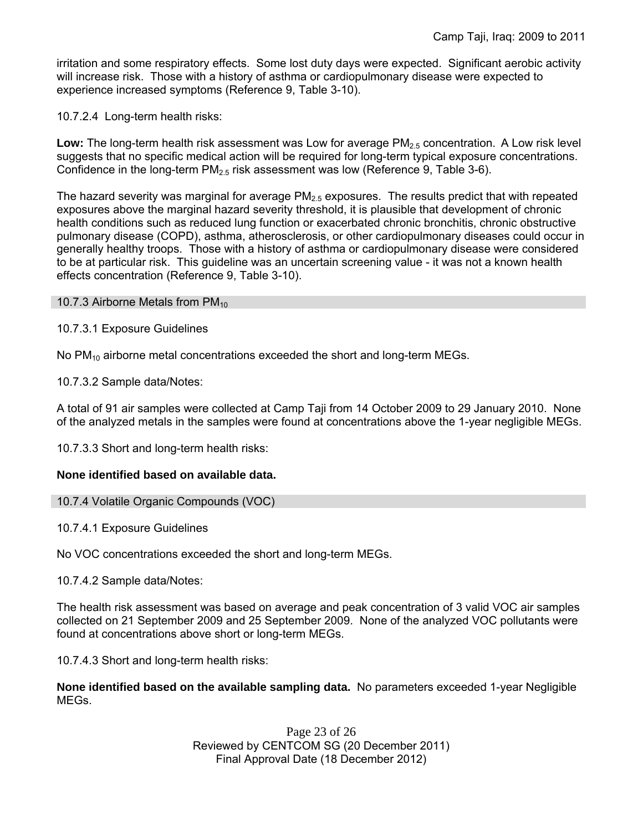irritation and some respiratory effects. Some lost duty days were expected. Significant aerobic activity will increase risk. Those with a history of asthma or cardiopulmonary disease were expected to experience increased symptoms (Reference 9, Table 3-10).

10.7.2.4 Long-term health risks:

Low: The long-term health risk assessment was Low for average PM<sub>2.5</sub> concentration. A Low risk level suggests that no specific medical action will be required for long-term typical exposure concentrations. Confidence in the long-term  $PM_{2.5}$  risk assessment was low (Reference 9, Table 3-6).

The hazard severity was marginal for average  $PM<sub>2.5</sub>$  exposures. The results predict that with repeated exposures above the marginal hazard severity threshold, it is plausible that development of chronic health conditions such as reduced lung function or exacerbated chronic bronchitis, chronic obstructive pulmonary disease (COPD), asthma, atherosclerosis, or other cardiopulmonary diseases could occur in generally healthy troops. Those with a history of asthma or cardiopulmonary disease were considered to be at particular risk. This guideline was an uncertain screening value - it was not a known health effects concentration (Reference 9, Table 3-10).

10.7.3 Airborne Metals from  $PM_{10}$ 

10.7.3.1 Exposure Guidelines

No  $PM_{10}$  airborne metal concentrations exceeded the short and long-term MEGs.

10.7.3.2 Sample data/Notes:

A total of 91 air samples were collected at Camp Taji from 14 October 2009 to 29 January 2010. None of the analyzed metals in the samples were found at concentrations above the 1-year negligible MEGs.

10.7.3.3 Short and long-term health risks:

### **None identified based on available data.**

```
10.7.4 Volatile Organic Compounds (VOC)
```
10.7.4.1 Exposure Guidelines

No VOC concentrations exceeded the short and long-term MEGs.

10.7.4.2 Sample data/Notes:

The health risk assessment was based on average and peak concentration of 3 valid VOC air samples collected on 21 September 2009 and 25 September 2009. None of the analyzed VOC pollutants were found at concentrations above short or long-term MEGs.

10.7.4.3 Short and long-term health risks:

**None identified based on the available sampling data.** No parameters exceeded 1-year Negligible MEGs.

> Page 23 of 26 Reviewed by CENTCOM SG (20 December 2011) Final Approval Date (18 December 2012)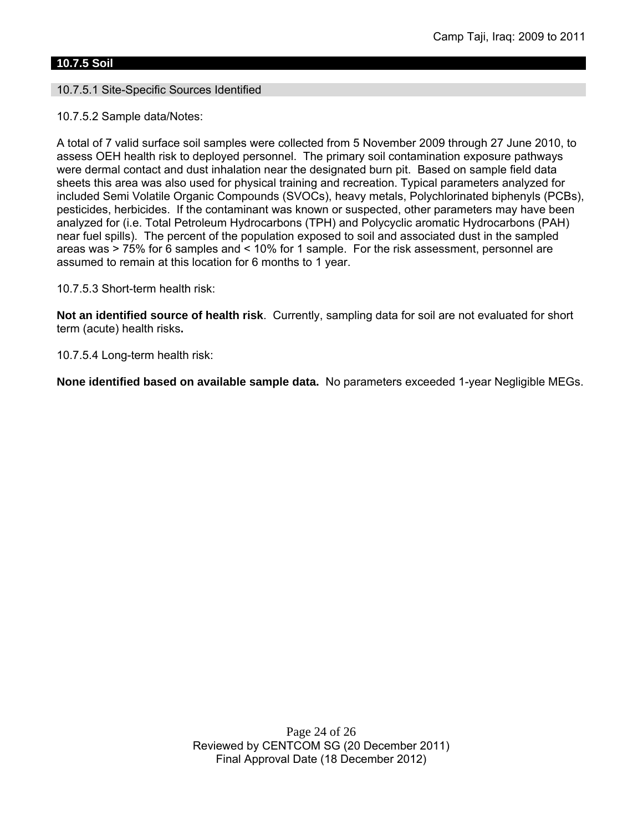## **10.7.5 Soil**

### 10.7.5.1 Site-Specific Sources Identified

10.7.5.2 Sample data/Notes:

A total of 7 valid surface soil samples were collected from 5 November 2009 through 27 June 2010, to assess OEH health risk to deployed personnel. The primary soil contamination exposure pathways were dermal contact and dust inhalation near the designated burn pit. Based on sample field data sheets this area was also used for physical training and recreation. Typical parameters analyzed for included Semi Volatile Organic Compounds (SVOCs), heavy metals, Polychlorinated biphenyls (PCBs), pesticides, herbicides. If the contaminant was known or suspected, other parameters may have been analyzed for (i.e. Total Petroleum Hydrocarbons (TPH) and Polycyclic aromatic Hydrocarbons (PAH) near fuel spills). The percent of the population exposed to soil and associated dust in the sampled areas was > 75% for 6 samples and < 10% for 1 sample. For the risk assessment, personnel are assumed to remain at this location for 6 months to 1 year.

10.7.5.3 Short-term health risk:

**Not an identified source of health risk**. Currently, sampling data for soil are not evaluated for short term (acute) health risks**.**

10.7.5.4 Long-term health risk:

**None identified based on available sample data.** No parameters exceeded 1-year Negligible MEGs.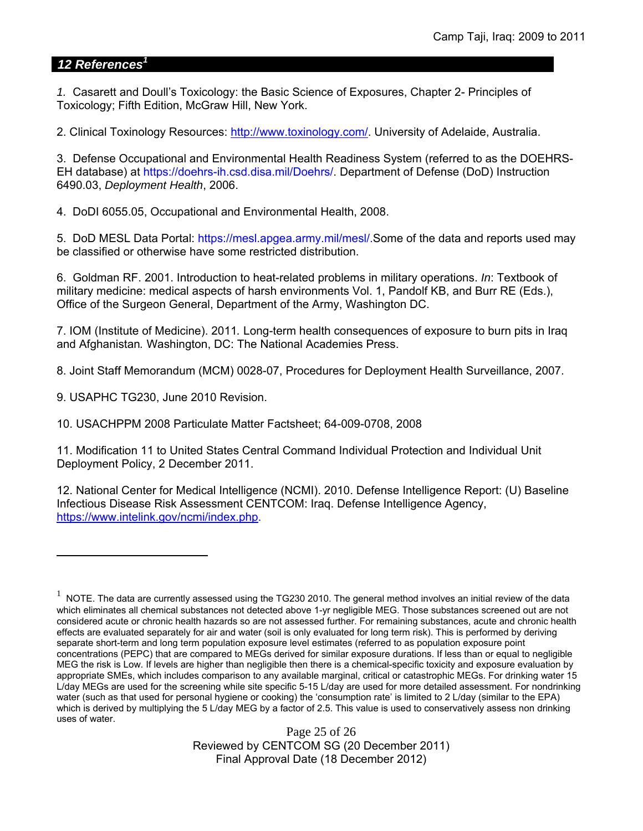## *12 References<sup>1</sup>*

*1.* Casarett and Doull's Toxicology: the Basic Science of Exposures, Chapter 2- Principles of Toxicology; Fifth Edition, McGraw Hill, New York.

2. Clinical Toxinology Resources: http://www.toxinology.com/. University of Adelaide, Australia.

3. Defense Occupational and Environmental Health Readiness System (referred to as the DOEHRS-EH database) at https://doehrs-ih.csd.disa.mil/Doehrs/. Department of Defense (DoD) Instruction 6490.03, *Deployment Health*, 2006.

4. DoDI 6055.05, Occupational and Environmental Health, 2008.

5. DoD MESL Data Portal: https://mesl.apgea.army.mil/mesl/.Some of the data and reports used may be classified or otherwise have some restricted distribution.

6. Goldman RF. 2001. Introduction to heat-related problems in military operations. *In*: Textbook of military medicine: medical aspects of harsh environments Vol. 1, Pandolf KB, and Burr RE (Eds.), Office of the Surgeon General, Department of the Army, Washington DC.

7. IOM (Institute of Medicine). 2011*.* Long-term health consequences of exposure to burn pits in Iraq and Afghanistan*.* Washington, DC: The National Academies Press.

8. Joint Staff Memorandum (MCM) 0028-07, Procedures for Deployment Health Surveillance, 2007.

9. USAPHC TG230, June 2010 Revision.

 $\overline{a}$ 

10. USACHPPM 2008 Particulate Matter Factsheet; 64-009-0708, 2008

11. Modification 11 to United States Central Command Individual Protection and Individual Unit Deployment Policy, 2 December 2011.

12. National Center for Medical Intelligence (NCMI). 2010. Defense Intelligence Report: (U) Baseline Infectious Disease Risk Assessment CENTCOM: Iraq. Defense Intelligence Agency, https://www.intelink.gov/ncmi/index.php.

Page 25 of 26 Reviewed by CENTCOM SG (20 December 2011) Final Approval Date (18 December 2012)

 $1$  NOTE. The data are currently assessed using the TG230 2010. The general method involves an initial review of the data which eliminates all chemical substances not detected above 1-yr negligible MEG. Those substances screened out are not considered acute or chronic health hazards so are not assessed further. For remaining substances, acute and chronic health effects are evaluated separately for air and water (soil is only evaluated for long term risk). This is performed by deriving separate short-term and long term population exposure level estimates (referred to as population exposure point concentrations (PEPC) that are compared to MEGs derived for similar exposure durations. If less than or equal to negligible MEG the risk is Low. If levels are higher than negligible then there is a chemical-specific toxicity and exposure evaluation by appropriate SMEs, which includes comparison to any available marginal, critical or catastrophic MEGs. For drinking water 15 L/day MEGs are used for the screening while site specific 5-15 L/day are used for more detailed assessment. For nondrinking water (such as that used for personal hygiene or cooking) the 'consumption rate' is limited to 2 L/day (similar to the EPA) which is derived by multiplying the 5 L/day MEG by a factor of 2.5. This value is used to conservatively assess non drinking uses of water.